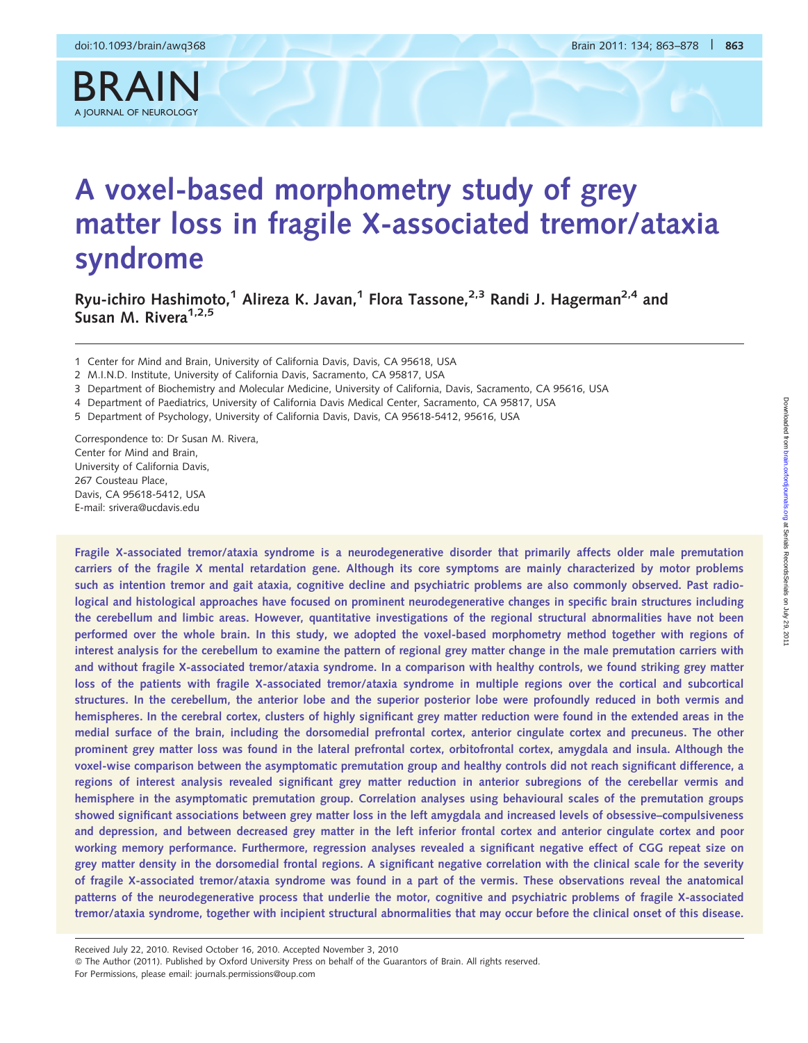BRAIN

# A voxel-based morphometry study of grey matter loss in fragile X-associated tremor/ataxia syndrome

Ryu-ichiro Hashimoto,<sup>1</sup> Alireza K. Javan,<sup>1</sup> Flora Tassone,<sup>2,3</sup> Randi J. Hagerman<sup>2,4</sup> and Susan M. Rivera $1,2,5$ 

1 Center for Mind and Brain, University of California Davis, Davis, CA 95618, USA

- 3 Department of Biochemistry and Molecular Medicine, University of California, Davis, Sacramento, CA 95616, USA
- 4 Department of Paediatrics, University of California Davis Medical Center, Sacramento, CA 95817, USA

5 Department of Psychology, University of California Davis, Davis, CA 95618-5412, 95616, USA

Correspondence to: Dr Susan M. Rivera, Center for Mind and Brain, University of California Davis, 267 Cousteau Place, Davis, CA 95618-5412, USA E-mail: srivera@ucdavis.edu

Fragile X-associated tremor/ataxia syndrome is a neurodegenerative disorder that primarily affects older male premutation carriers of the fragile X mental retardation gene. Although its core symptoms are mainly characterized by motor problems such as intention tremor and gait ataxia, cognitive decline and psychiatric problems are also commonly observed. Past radiological and histological approaches have focused on prominent neurodegenerative changes in specific brain structures including the cerebellum and limbic areas. However, quantitative investigations of the regional structural abnormalities have not been performed over the whole brain. In this study, we adopted the voxel-based morphometry method together with regions of interest analysis for the cerebellum to examine the pattern of regional grey matter change in the male premutation carriers with and without fragile X-associated tremor/ataxia syndrome. In a comparison with healthy controls, we found striking grey matter loss of the patients with fragile X-associated tremor/ataxia syndrome in multiple regions over the cortical and subcortical structures. In the cerebellum, the anterior lobe and the superior posterior lobe were profoundly reduced in both vermis and hemispheres. In the cerebral cortex, clusters of highly significant grey matter reduction were found in the extended areas in the medial surface of the brain, including the dorsomedial prefrontal cortex, anterior cingulate cortex and precuneus. The other prominent grey matter loss was found in the lateral prefrontal cortex, orbitofrontal cortex, amygdala and insula. Although the voxel-wise comparison between the asymptomatic premutation group and healthy controls did not reach significant difference, a regions of interest analysis revealed significant grey matter reduction in anterior subregions of the cerebellar vermis and hemisphere in the asymptomatic premutation group. Correlation analyses using behavioural scales of the premutation groups showed significant associations between grey matter loss in the left amygdala and increased levels of obsessive–compulsiveness and depression, and between decreased grey matter in the left inferior frontal cortex and anterior cingulate cortex and poor working memory performance. Furthermore, regression analyses revealed a significant negative effect of CGG repeat size on grey matter density in the dorsomedial frontal regions. A significant negative correlation with the clinical scale for the severity of fragile X-associated tremor/ataxia syndrome was found in a part of the vermis. These observations reveal the anatomical patterns of the neurodegenerative process that underlie the motor, cognitive and psychiatric problems of fragile X-associated tremor/ataxia syndrome, together with incipient structural abnormalities that may occur before the clinical onset of this disease.

Received July 22, 2010. Revised October 16, 2010. Accepted November 3, 2010 © The Author (2011). Published by Oxford University Press on behalf of the Guarantors of Brain. All rights reserved. For Permissions, please email: journals.permissions@oup.com

<sup>2</sup> M.I.N.D. Institute, University of California Davis, Sacramento, CA 95817, USA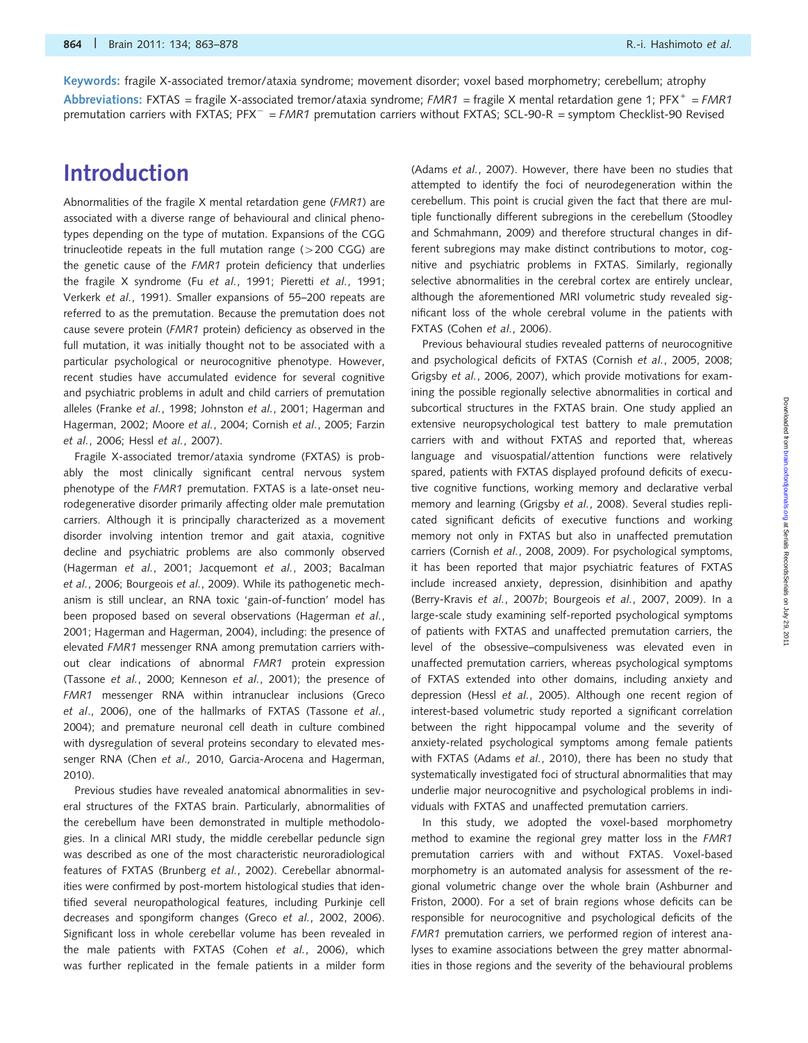Keywords: fragile X-associated tremor/ataxia syndrome; movement disorder; voxel based morphometry; cerebellum; atrophy Abbreviations: FXTAS = fragile X-associated tremor/ataxia syndrome;  $FMR1$  = fragile X mental retardation gene 1; PFX<sup>+</sup> =  $FMR1$ premutation carriers with FXTAS; PFX<sup>-</sup> = FMR1 premutation carriers without FXTAS; SCL-90-R = symptom Checklist-90 Revised

# Introduction

Abnormalities of the fragile X mental retardation gene (FMR1) are associated with a diverse range of behavioural and clinical phenotypes depending on the type of mutation. Expansions of the CGG trinucleotide repeats in the full mutation range  $(>200 \text{ CGG})$  are the genetic cause of the FMR1 protein deficiency that underlies the fragile X syndrome (Fu et al., 1991; Pieretti et al., 1991; Verkerk et al., 1991). Smaller expansions of 55–200 repeats are referred to as the premutation. Because the premutation does not cause severe protein (FMR1 protein) deficiency as observed in the full mutation, it was initially thought not to be associated with a particular psychological or neurocognitive phenotype. However, recent studies have accumulated evidence for several cognitive and psychiatric problems in adult and child carriers of premutation alleles (Franke et al., 1998; Johnston et al., 2001; Hagerman and Hagerman, 2002; Moore et al., 2004; Cornish et al., 2005; Farzin et al., 2006; Hessl et al., 2007).

Fragile X-associated tremor/ataxia syndrome (FXTAS) is probably the most clinically significant central nervous system phenotype of the FMR1 premutation. FXTAS is a late-onset neurodegenerative disorder primarily affecting older male premutation carriers. Although it is principally characterized as a movement disorder involving intention tremor and gait ataxia, cognitive decline and psychiatric problems are also commonly observed (Hagerman et al., 2001; Jacquemont et al., 2003; Bacalman et al., 2006; Bourgeois et al., 2009). While its pathogenetic mechanism is still unclear, an RNA toxic 'gain-of-function' model has been proposed based on several observations (Hagerman et al., 2001; Hagerman and Hagerman, 2004), including: the presence of elevated FMR1 messenger RNA among premutation carriers without clear indications of abnormal FMR1 protein expression (Tassone et al., 2000; Kenneson et al., 2001); the presence of FMR1 messenger RNA within intranuclear inclusions (Greco et al., 2006), one of the hallmarks of FXTAS (Tassone et al., 2004); and premature neuronal cell death in culture combined with dysregulation of several proteins secondary to elevated messenger RNA (Chen et al., 2010, Garcia-Arocena and Hagerman, 2010).

Previous studies have revealed anatomical abnormalities in several structures of the FXTAS brain. Particularly, abnormalities of the cerebellum have been demonstrated in multiple methodologies. In a clinical MRI study, the middle cerebellar peduncle sign was described as one of the most characteristic neuroradiological features of FXTAS (Brunberg et al., 2002). Cerebellar abnormalities were confirmed by post-mortem histological studies that identified several neuropathological features, including Purkinje cell decreases and spongiform changes (Greco et al., 2002, 2006). Significant loss in whole cerebellar volume has been revealed in the male patients with FXTAS (Cohen et al., 2006), which was further replicated in the female patients in a milder form

(Adams et al., 2007). However, there have been no studies that attempted to identify the foci of neurodegeneration within the cerebellum. This point is crucial given the fact that there are multiple functionally different subregions in the cerebellum (Stoodley and Schmahmann, 2009) and therefore structural changes in different subregions may make distinct contributions to motor, cognitive and psychiatric problems in FXTAS. Similarly, regionally selective abnormalities in the cerebral cortex are entirely unclear, although the aforementioned MRI volumetric study revealed significant loss of the whole cerebral volume in the patients with FXTAS (Cohen et al., 2006).

Previous behavioural studies revealed patterns of neurocognitive and psychological deficits of FXTAS (Cornish et al., 2005, 2008; Grigsby et al., 2006, 2007), which provide motivations for examining the possible regionally selective abnormalities in cortical and subcortical structures in the FXTAS brain. One study applied an extensive neuropsychological test battery to male premutation carriers with and without FXTAS and reported that, whereas language and visuospatial/attention functions were relatively spared, patients with FXTAS displayed profound deficits of executive cognitive functions, working memory and declarative verbal memory and learning (Grigsby et al., 2008). Several studies replicated significant deficits of executive functions and working memory not only in FXTAS but also in unaffected premutation carriers (Cornish et al., 2008, 2009). For psychological symptoms, it has been reported that major psychiatric features of FXTAS include increased anxiety, depression, disinhibition and apathy (Berry-Kravis et al., 2007b; Bourgeois et al., 2007, 2009). In a large-scale study examining self-reported psychological symptoms of patients with FXTAS and unaffected premutation carriers, the level of the obsessive–compulsiveness was elevated even in unaffected premutation carriers, whereas psychological symptoms of FXTAS extended into other domains, including anxiety and depression (Hessl et al., 2005). Although one recent region of interest-based volumetric study reported a significant correlation between the right hippocampal volume and the severity of anxiety-related psychological symptoms among female patients with FXTAS (Adams et al., 2010), there has been no study that systematically investigated foci of structural abnormalities that may underlie major neurocognitive and psychological problems in individuals with FXTAS and unaffected premutation carriers.

In this study, we adopted the voxel-based morphometry method to examine the regional grey matter loss in the FMR1 premutation carriers with and without FXTAS. Voxel-based morphometry is an automated analysis for assessment of the regional volumetric change over the whole brain (Ashburner and Friston, 2000). For a set of brain regions whose deficits can be responsible for neurocognitive and psychological deficits of the FMR1 premutation carriers, we performed region of interest analyses to examine associations between the grey matter abnormalities in those regions and the severity of the behavioural problems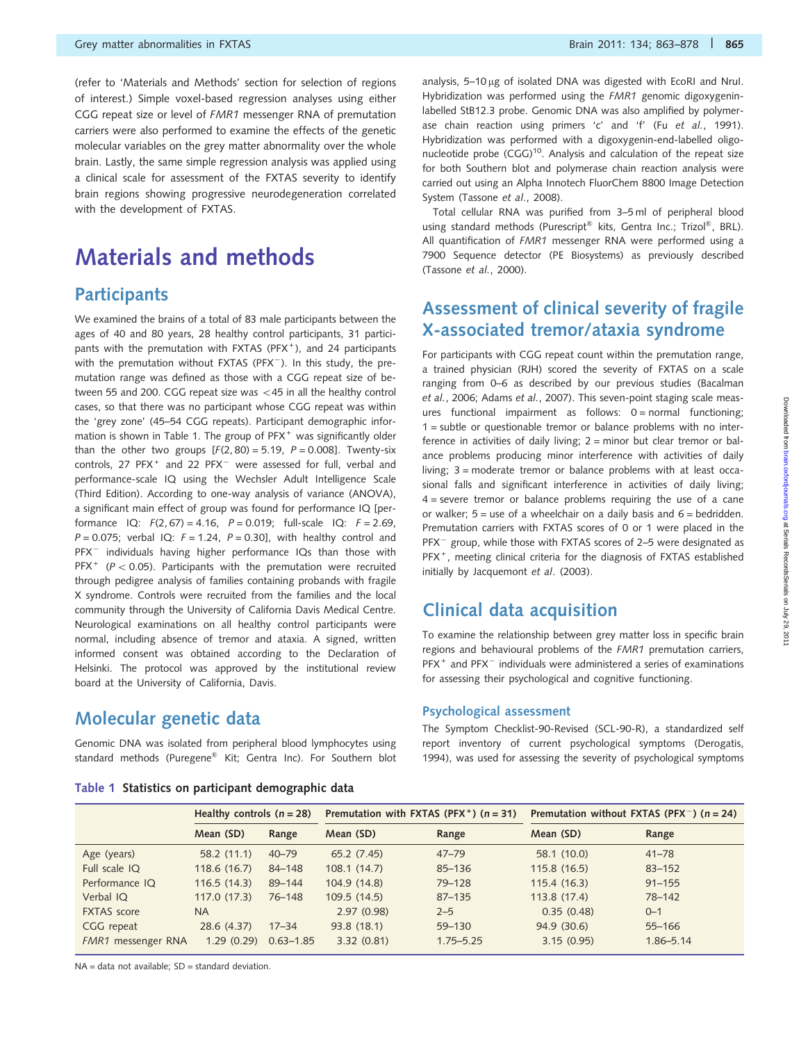(refer to 'Materials and Methods' section for selection of regions of interest.) Simple voxel-based regression analyses using either CGG repeat size or level of FMR1 messenger RNA of premutation carriers were also performed to examine the effects of the genetic molecular variables on the grey matter abnormality over the whole brain. Lastly, the same simple regression analysis was applied using a clinical scale for assessment of the FXTAS severity to identify brain regions showing progressive neurodegeneration correlated with the development of FXTAS.

# Materials and methods

## **Participants**

We examined the brains of a total of 83 male participants between the ages of 40 and 80 years, 28 healthy control participants, 31 participants with the premutation with FXTAS (PFX<sup>+</sup>), and 24 participants with the premutation without FXTAS (PFX<sup>-</sup>). In this study, the premutation range was defined as those with a CGG repeat size of between 55 and 200. CGG repeat size was  $<$  45 in all the healthy control cases, so that there was no participant whose CGG repeat was within the 'grey zone' (45–54 CGG repeats). Participant demographic information is shown in Table 1. The group of PFX<sup>+</sup> was significantly older than the other two groups  $[F(2, 80) = 5.19, P = 0.008]$ . Twenty-six controls, 27 PFX<sup>+</sup> and 22 PFX<sup>-</sup> were assessed for full, verbal and performance-scale IQ using the Wechsler Adult Intelligence Scale (Third Edition). According to one-way analysis of variance (ANOVA), a significant main effect of group was found for performance IQ [performance IQ:  $F(2, 67) = 4.16$ ,  $P = 0.019$ ; full-scale IQ:  $F = 2.69$ ,  $P = 0.075$ ; verbal IQ:  $F = 1.24$ ,  $P = 0.30$ ], with healthy control and PFX<sup>-</sup> individuals having higher performance IQs than those with PFX<sup>+</sup> ( $P < 0.05$ ). Participants with the premutation were recruited through pedigree analysis of families containing probands with fragile X syndrome. Controls were recruited from the families and the local community through the University of California Davis Medical Centre. Neurological examinations on all healthy control participants were normal, including absence of tremor and ataxia. A signed, written informed consent was obtained according to the Declaration of Helsinki. The protocol was approved by the institutional review board at the University of California, Davis.

## Molecular genetic data

Genomic DNA was isolated from peripheral blood lymphocytes using standard methods (Puregene® Kit; Gentra Inc). For Southern blot

analysis, 5-10 µg of isolated DNA was digested with EcoRI and NruI. Hybridization was performed using the FMR1 genomic digoxygeninlabelled StB12.3 probe. Genomic DNA was also amplified by polymerase chain reaction using primers 'c' and 'f' (Fu et al., 1991). Hybridization was performed with a digoxygenin-end-labelled oligonucleotide probe (CGG)<sup>10</sup>. Analysis and calculation of the repeat size for both Southern blot and polymerase chain reaction analysis were carried out using an Alpha Innotech FluorChem 8800 Image Detection System (Tassone et al., 2008).

Total cellular RNA was purified from 3–5 ml of peripheral blood using standard methods (Purescript® kits, Gentra Inc.; Trizol®, BRL). All quantification of FMR1 messenger RNA were performed using a 7900 Sequence detector (PE Biosystems) as previously described (Tassone et al., 2000).

## Assessment of clinical severity of fragile X-associated tremor/ataxia syndrome

For participants with CGG repeat count within the premutation range, a trained physician (RJH) scored the severity of FXTAS on a scale ranging from 0–6 as described by our previous studies (Bacalman et al., 2006; Adams et al., 2007). This seven-point staging scale measures functional impairment as follows:  $0 = normal$  functioning; 1 = subtle or questionable tremor or balance problems with no interference in activities of daily living;  $2 =$  minor but clear tremor or balance problems producing minor interference with activities of daily living; 3 = moderate tremor or balance problems with at least occasional falls and significant interference in activities of daily living;  $4$  = severe tremor or balance problems requiring the use of a cane or walker;  $5 =$  use of a wheelchair on a daily basis and  $6 =$  bedridden. Premutation carriers with FXTAS scores of 0 or 1 were placed in the PFX<sup>-</sup> group, while those with FXTAS scores of 2-5 were designated as PFX<sup>+</sup>, meeting clinical criteria for the diagnosis of FXTAS established initially by Jacquemont et al. (2003).

## Clinical data acquisition

To examine the relationship between grey matter loss in specific brain regions and behavioural problems of the FMR1 premutation carriers,  $PFX$ <sup>+</sup> and  $PFX$ <sup>-</sup> individuals were administered a series of examinations for assessing their psychological and cognitive functioning.

#### Psychological assessment

The Symptom Checklist-90-Revised (SCL-90-R), a standardized self report inventory of current psychological symptoms (Derogatis, 1994), was used for assessing the severity of psychological symptoms

| Table 1 Statistics on participant demographic data |  |  |  |  |  |  |
|----------------------------------------------------|--|--|--|--|--|--|
|----------------------------------------------------|--|--|--|--|--|--|

|                           | Healthy controls $(n = 28)$ |               |              | Premutation with FXTAS (PFX <sup>+</sup> ) ( $n = 31$ ) |              | Premutation without FXTAS (PFX <sup>-</sup> ) ( $n = 24$ ) |
|---------------------------|-----------------------------|---------------|--------------|---------------------------------------------------------|--------------|------------------------------------------------------------|
|                           | Mean (SD)                   | Range         | Mean (SD)    | Range                                                   | Mean (SD)    | Range                                                      |
| Age (years)               | 58.2 (11.1)                 | $40 - 79$     | 65.2 (7.45)  | $47 - 79$                                               | 58.1 (10.0)  | $41 - 78$                                                  |
| Full scale IQ             | 118.6 (16.7)                | 84-148        | 108.1(14.7)  | $85 - 136$                                              | 115.8(16.5)  | $83 - 152$                                                 |
| Performance IQ            | 116.5(14.3)                 | $89 - 144$    | 104.9 (14.8) | 79-128                                                  | 115.4(16.3)  | $91 - 155$                                                 |
| Verbal IQ                 | 117.0(17.3)                 | $76 - 148$    | 109.5 (14.5) | $87 - 135$                                              | 113.8 (17.4) | 78-142                                                     |
| <b>FXTAS</b> score        | <b>NA</b>                   |               | 2.97(0.98)   | $2 - 5$                                                 | 0.35(0.48)   | $0 - 1$                                                    |
| CGG repeat                | 28.6 (4.37)                 | $17 - 34$     | 93.8 (18.1)  | $59 - 130$                                              | 94.9 (30.6)  | $55 - 166$                                                 |
| <b>FMR1</b> messenger RNA | 1.29(0.29)                  | $0.63 - 1.85$ | 3.32(0.81)   | $1.75 - 5.25$                                           | 3.15(0.95)   | $1.86 - 5.14$                                              |
|                           |                             |               |              |                                                         |              |                                                            |

 $NA = data not available; SD = standard deviation$ .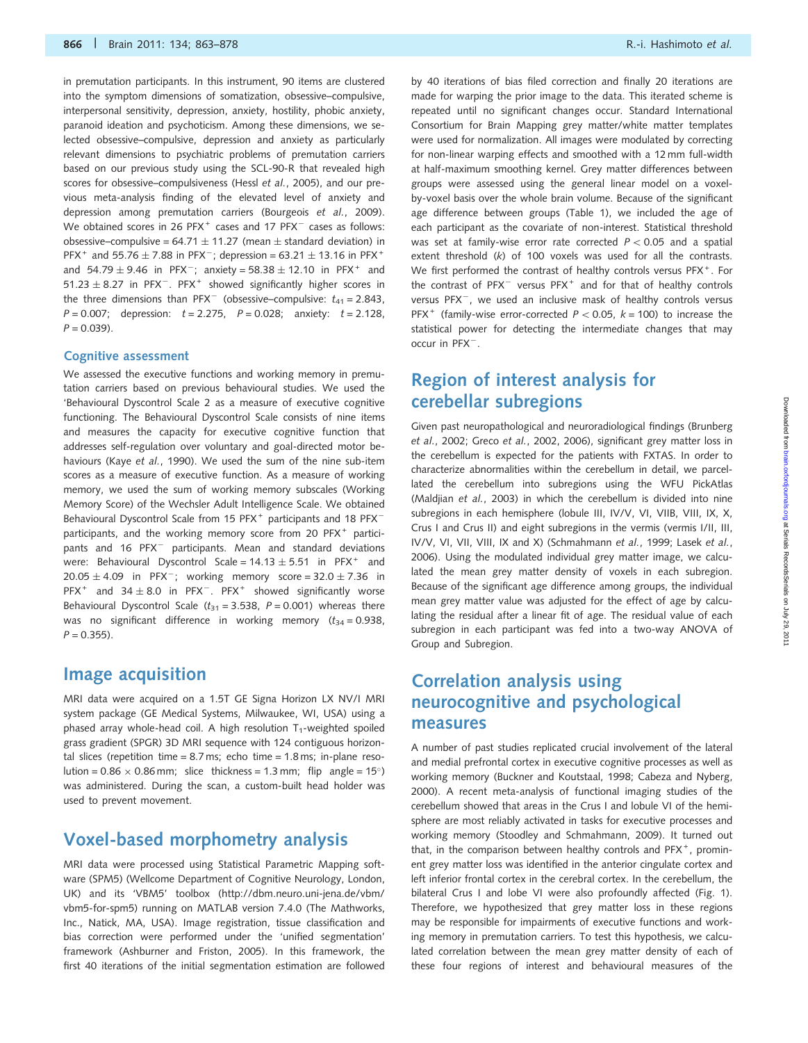in premutation participants. In this instrument, 90 items are clustered into the symptom dimensions of somatization, obsessive–compulsive, interpersonal sensitivity, depression, anxiety, hostility, phobic anxiety, paranoid ideation and psychoticism. Among these dimensions, we selected obsessive–compulsive, depression and anxiety as particularly relevant dimensions to psychiatric problems of premutation carriers based on our previous study using the SCL-90-R that revealed high scores for obsessive–compulsiveness (Hessl et al., 2005), and our previous meta-analysis finding of the elevated level of anxiety and depression among premutation carriers (Bourgeois et al., 2009). We obtained scores in 26  $PFX^+$  cases and 17  $PFX^-$  cases as follows: obsessive–compulsive =  $64.71 \pm 11.27$  (mean  $\pm$  standard deviation) in PFX<sup>+</sup> and 55.76  $\pm$  7.88 in PFX<sup>-</sup>; depression = 63.21  $\pm$  13.16 in PFX<sup>+</sup> and  $54.79 \pm 9.46$  in PFX<sup>-</sup>; anxiety = 58.38  $\pm$  12.10 in PFX<sup>+</sup> and  $51.23 \pm 8.27$  in PFX<sup>-</sup>. PFX<sup>+</sup> showed significantly higher scores in the three dimensions than  $PFX^-$  (obsessive–compulsive:  $t_{41} = 2.843$ ,  $P = 0.007$ ; depression:  $t = 2.275$ ,  $P = 0.028$ ; anxiety:  $t = 2.128$ ,  $P = 0.039$ ).

#### Cognitive assessment

We assessed the executive functions and working memory in premutation carriers based on previous behavioural studies. We used the 'Behavioural Dyscontrol Scale 2 as a measure of executive cognitive functioning. The Behavioural Dyscontrol Scale consists of nine items and measures the capacity for executive cognitive function that addresses self-regulation over voluntary and goal-directed motor behaviours (Kaye et al., 1990). We used the sum of the nine sub-item scores as a measure of executive function. As a measure of working memory, we used the sum of working memory subscales (Working Memory Score) of the Wechsler Adult Intelligence Scale. We obtained Behavioural Dyscontrol Scale from 15 PFX<sup>+</sup> participants and 18 PFX<sup>-</sup> participants, and the working memory score from 20  $PFX^+$  participants and 16 PFX<sup>-</sup> participants. Mean and standard deviations were: Behavioural Dyscontrol Scale =  $14.13 \pm 5.51$  in PFX<sup>+</sup> and  $20.05 \pm 4.09$  in PFX<sup>-</sup>; working memory score =  $32.0 \pm 7.36$  in PFX<sup>+</sup> and  $34 \pm 8.0$  in PFX<sup>-</sup>. PFX<sup>+</sup> showed significantly worse Behavioural Dyscontrol Scale ( $t_{31}$  = 3.538, P = 0.001) whereas there was no significant difference in working memory  $(t_{34} = 0.938,$  $P = 0.355$ ).

#### Image acquisition

MRI data were acquired on a 1.5T GE Signa Horizon LX NV/I MRI system package (GE Medical Systems, Milwaukee, WI, USA) using a phased array whole-head coil. A high resolution  $T_1$ -weighted spoiled grass gradient (SPGR) 3D MRI sequence with 124 contiguous horizontal slices (repetition time =  $8.7$  ms; echo time =  $1.8$  ms; in-plane resolution =  $0.86 \times 0.86$  mm; slice thickness = 1.3 mm; flip angle = 15°) was administered. During the scan, a custom-built head holder was used to prevent movement.

## Voxel-based morphometry analysis

MRI data were processed using Statistical Parametric Mapping software (SPM5) (Wellcome Department of Cognitive Neurology, London, UK) and its 'VBM5' toolbox (http://dbm.neuro.uni-jena.de/vbm/ vbm5-for-spm5) running on MATLAB version 7.4.0 (The Mathworks, Inc., Natick, MA, USA). Image registration, tissue classification and bias correction were performed under the 'unified segmentation' framework (Ashburner and Friston, 2005). In this framework, the first 40 iterations of the initial segmentation estimation are followed by 40 iterations of bias filed correction and finally 20 iterations are made for warping the prior image to the data. This iterated scheme is repeated until no significant changes occur. Standard International Consortium for Brain Mapping grey matter/white matter templates were used for normalization. All images were modulated by correcting for non-linear warping effects and smoothed with a 12 mm full-width at half-maximum smoothing kernel. Grey matter differences between groups were assessed using the general linear model on a voxelby-voxel basis over the whole brain volume. Because of the significant age difference between groups (Table 1), we included the age of each participant as the covariate of non-interest. Statistical threshold was set at family-wise error rate corrected  $P < 0.05$  and a spatial extent threshold (k) of 100 voxels was used for all the contrasts. We first performed the contrast of healthy controls versus PFX<sup>+</sup>. For the contrast of PFX<sup>-</sup> versus PFX<sup>+</sup> and for that of healthy controls versus PFX<sup>-</sup>, we used an inclusive mask of healthy controls versus PFX<sup>+</sup> (family-wise error-corrected  $P < 0.05$ ,  $k = 100$ ) to increase the statistical power for detecting the intermediate changes that may occur in PFX<sup>-</sup>.

## Region of interest analysis for cerebellar subregions

Given past neuropathological and neuroradiological findings (Brunberg et al., 2002; Greco et al., 2002, 2006), significant grey matter loss in the cerebellum is expected for the patients with FXTAS. In order to characterize abnormalities within the cerebellum in detail, we parcellated the cerebellum into subregions using the WFU PickAtlas (Maldjian et al., 2003) in which the cerebellum is divided into nine subregions in each hemisphere (lobule III, IV/V, VI, VIIB, VIII, IX, X, Crus I and Crus II) and eight subregions in the vermis (vermis I/II, III, IV/V, VI, VII, VIII, IX and X) (Schmahmann et al., 1999; Lasek et al., 2006). Using the modulated individual grey matter image, we calculated the mean grey matter density of voxels in each subregion. Because of the significant age difference among groups, the individual mean grey matter value was adjusted for the effect of age by calculating the residual after a linear fit of age. The residual value of each subregion in each participant was fed into a two-way ANOVA of Group and Subregion.

## Correlation analysis using neurocognitive and psychological measures

A number of past studies replicated crucial involvement of the lateral and medial prefrontal cortex in executive cognitive processes as well as working memory (Buckner and Koutstaal, 1998; Cabeza and Nyberg, 2000). A recent meta-analysis of functional imaging studies of the cerebellum showed that areas in the Crus I and lobule VI of the hemisphere are most reliably activated in tasks for executive processes and working memory (Stoodley and Schmahmann, 2009). It turned out that, in the comparison between healthy controls and  $PFX^+$ , prominent grey matter loss was identified in the anterior cingulate cortex and left inferior frontal cortex in the cerebral cortex. In the cerebellum, the bilateral Crus I and lobe VI were also profoundly affected (Fig. 1). Therefore, we hypothesized that grey matter loss in these regions may be responsible for impairments of executive functions and working memory in premutation carriers. To test this hypothesis, we calculated correlation between the mean grey matter density of each of these four regions of interest and behavioural measures of the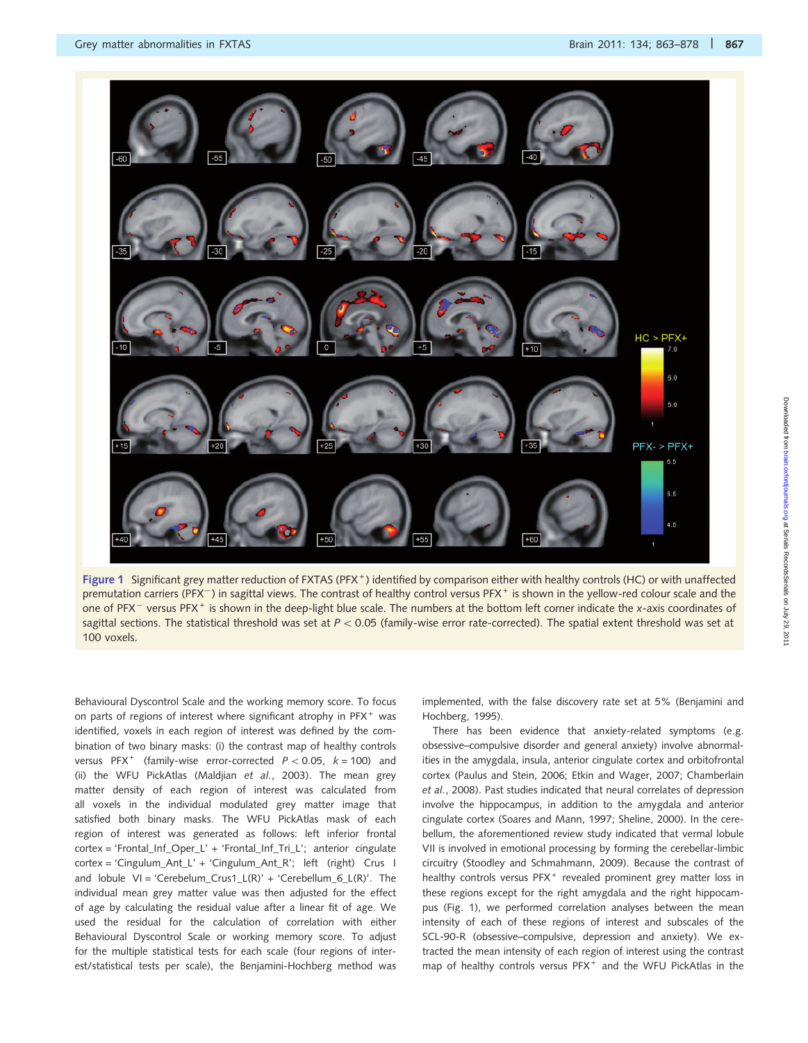

Figure 1 Significant grey matter reduction of FXTAS (PFX<sup>+</sup>) identified by comparison either with healthy controls (HC) or with unaffected premutation carriers (PFX<sup>-</sup>) in sagittal views. The contrast of healthy control versus PFX<sup>+</sup> is shown in the yellow-red colour scale and the one of PFX<sup>-</sup> versus PFX<sup>+</sup> is shown in the deep-light blue scale. The numbers at the bottom left corner indicate the x-axis coordinates of sagittal sections. The statistical threshold was set at  $P < 0.05$  (family-wise error rate-corrected). The spatial extent threshold was set at 100 voxels.

Behavioural Dyscontrol Scale and the working memory score. To focus on parts of regions of interest where significant atrophy in PFX<sup>+</sup> was identified, voxels in each region of interest was defined by the combination of two binary masks: (i) the contrast map of healthy controls versus PFX<sup>+</sup> (family-wise error-corrected  $P < 0.05$ ,  $k = 100$ ) and (ii) the WFU PickAtlas (Maldjian et al., 2003). The mean grey matter density of each region of interest was calculated from all voxels in the individual modulated grey matter image that satisfied both binary masks. The WFU PickAtlas mask of each region of interest was generated as follows: left inferior frontal cortex = 'Frontal\_Inf\_Oper\_L' + 'Frontal\_Inf\_Tri\_L'; anterior cingulate cortex = 'Cingulum\_Ant\_L' + 'Cingulum\_Ant\_R'; left (right) Crus I and  $lobule$  VI = 'Cerebelum\_Crus1\_L(R)' + 'Cerebellum\_6\_L(R)'. The individual mean grey matter value was then adjusted for the effect of age by calculating the residual value after a linear fit of age. We used the residual for the calculation of correlation with either Behavioural Dyscontrol Scale or working memory score. To adjust for the multiple statistical tests for each scale (four regions of interest/statistical tests per scale), the Benjamini-Hochberg method was implemented, with the false discovery rate set at 5% (Benjamini and Hochberg, 1995).

There has been evidence that anxiety-related symptoms (e.g. obsessive–compulsive disorder and general anxiety) involve abnormalities in the amygdala, insula, anterior cingulate cortex and orbitofrontal cortex (Paulus and Stein, 2006; Etkin and Wager, 2007; Chamberlain et al., 2008). Past studies indicated that neural correlates of depression involve the hippocampus, in addition to the amygdala and anterior cingulate cortex (Soares and Mann, 1997; Sheline, 2000). In the cerebellum, the aforementioned review study indicated that vermal lobule VII is involved in emotional processing by forming the cerebellar-limbic circuitry (Stoodley and Schmahmann, 2009). Because the contrast of healthy controls versus PFX<sup>+</sup> revealed prominent grey matter loss in these regions except for the right amygdala and the right hippocampus (Fig. 1), we performed correlation analyses between the mean intensity of each of these regions of interest and subscales of the SCL-90-R (obsessive–compulsive, depression and anxiety). We extracted the mean intensity of each region of interest using the contrast map of healthy controls versus  $PFX^+$  and the WFU PickAtlas in the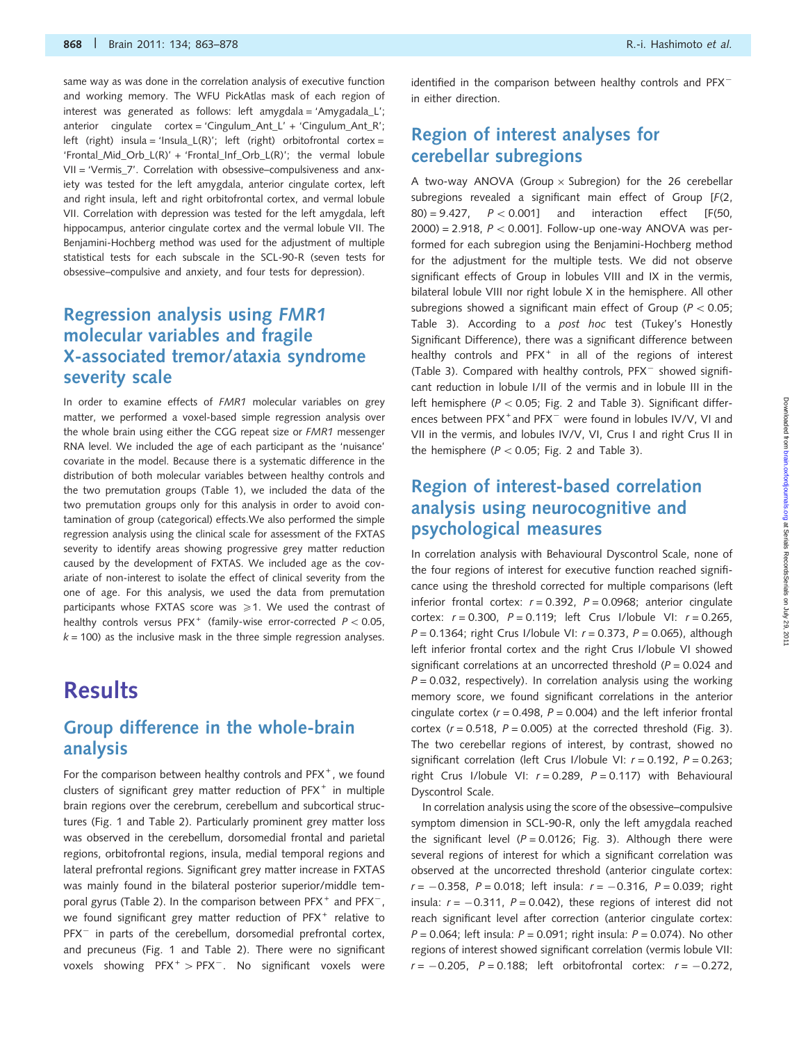same way as was done in the correlation analysis of executive function and working memory. The WFU PickAtlas mask of each region of interest was generated as follows: left amygdala = 'Amygadala L'; anterior cingulate cortex = 'Cingulum\_Ant\_L' + 'Cingulum\_Ant\_R'; left (right) insula = 'Insula\_L(R)'; left (right) orbitofrontal cortex = 'Frontal\_Mid\_Orb\_L(R)' + 'Frontal\_Inf\_Orb\_L(R)'; the vermal lobule VII = 'Vermis\_7'. Correlation with obsessive–compulsiveness and anxiety was tested for the left amygdala, anterior cingulate cortex, left and right insula, left and right orbitofrontal cortex, and vermal lobule VII. Correlation with depression was tested for the left amygdala, left hippocampus, anterior cingulate cortex and the vermal lobule VII. The Benjamini-Hochberg method was used for the adjustment of multiple statistical tests for each subscale in the SCL-90-R (seven tests for obsessive–compulsive and anxiety, and four tests for depression).

## Regression analysis using FMR1 molecular variables and fragile X-associated tremor/ataxia syndrome severity scale

In order to examine effects of FMR1 molecular variables on grey matter, we performed a voxel-based simple regression analysis over the whole brain using either the CGG repeat size or FMR1 messenger RNA level. We included the age of each participant as the 'nuisance' covariate in the model. Because there is a systematic difference in the distribution of both molecular variables between healthy controls and the two premutation groups (Table 1), we included the data of the two premutation groups only for this analysis in order to avoid contamination of group (categorical) effects.We also performed the simple regression analysis using the clinical scale for assessment of the FXTAS severity to identify areas showing progressive grey matter reduction caused by the development of FXTAS. We included age as the covariate of non-interest to isolate the effect of clinical severity from the one of age. For this analysis, we used the data from premutation participants whose FXTAS score was  $\geq 1$ . We used the contrast of healthy controls versus PFX<sup>+</sup> (family-wise error-corrected  $P < 0.05$ ,  $k = 100$ ) as the inclusive mask in the three simple regression analyses.

# **Results**

## Group difference in the whole-brain analysis

For the comparison between healthy controls and PFX<sup>+</sup>, we found clusters of significant grey matter reduction of  $PFX^+$  in multiple brain regions over the cerebrum, cerebellum and subcortical structures (Fig. 1 and Table 2). Particularly prominent grey matter loss was observed in the cerebellum, dorsomedial frontal and parietal regions, orbitofrontal regions, insula, medial temporal regions and lateral prefrontal regions. Significant grey matter increase in FXTAS was mainly found in the bilateral posterior superior/middle temporal gyrus (Table 2). In the comparison between  $PFX^+$  and  $PFX^-$ , we found significant grey matter reduction of PFX<sup>+</sup> relative to PFX<sup>-</sup> in parts of the cerebellum, dorsomedial prefrontal cortex, and precuneus (Fig. 1 and Table 2). There were no significant voxels showing  $PFX^+ > PFX^-$ . No significant voxels were

identified in the comparison between healthy controls and  $PFX^$ in either direction.

## Region of interest analyses for cerebellar subregions

A two-way ANOVA (Group  $\times$  Subregion) for the 26 cerebellar subregions revealed a significant main effect of Group [F(2, 80) = 9.427,  $P < 0.001$ ] and interaction effect [F(50,  $2000$ ) = 2.918,  $P < 0.001$ ]. Follow-up one-way ANOVA was performed for each subregion using the Benjamini-Hochberg method for the adjustment for the multiple tests. We did not observe significant effects of Group in lobules VIII and IX in the vermis, bilateral lobule VIII nor right lobule X in the hemisphere. All other subregions showed a significant main effect of Group ( $P < 0.05$ ; Table 3). According to a post hoc test (Tukey's Honestly Significant Difference), there was a significant difference between healthy controls and PFX<sup>+</sup> in all of the regions of interest (Table 3). Compared with healthy controls, PFX<sup>-</sup> showed significant reduction in lobule I/II of the vermis and in lobule III in the left hemisphere ( $P < 0.05$ ; Fig. 2 and Table 3). Significant differences between PFX<sup>+</sup> and PFX<sup>-</sup> were found in lobules IV/V, VI and VII in the vermis, and lobules IV/V, VI, Crus I and right Crus II in the hemisphere ( $P < 0.05$ ; Fig. 2 and Table 3).

## Region of interest-based correlation analysis using neurocognitive and psychological measures

In correlation analysis with Behavioural Dyscontrol Scale, none of the four regions of interest for executive function reached significance using the threshold corrected for multiple comparisons (left inferior frontal cortex:  $r = 0.392$ ,  $P = 0.0968$ ; anterior cingulate cortex:  $r = 0.300$ ,  $P = 0.119$ ; left Crus I/lobule VI:  $r = 0.265$ ,  $P = 0.1364$ ; right Crus I/lobule VI:  $r = 0.373$ ,  $P = 0.065$ ), although left inferior frontal cortex and the right Crus I/lobule VI showed significant correlations at an uncorrected threshold ( $P = 0.024$  and  $P = 0.032$ , respectively). In correlation analysis using the working memory score, we found significant correlations in the anterior cingulate cortex ( $r = 0.498$ ,  $P = 0.004$ ) and the left inferior frontal cortex ( $r = 0.518$ ,  $P = 0.005$ ) at the corrected threshold (Fig. 3). The two cerebellar regions of interest, by contrast, showed no significant correlation (left Crus I/lobule VI:  $r = 0.192$ ,  $P = 0.263$ ; right Crus I/lobule VI:  $r = 0.289$ ,  $P = 0.117$ ) with Behavioural Dyscontrol Scale.

In correlation analysis using the score of the obsessive–compulsive symptom dimension in SCL-90-R, only the left amygdala reached the significant level ( $P = 0.0126$ ; Fig. 3). Although there were several regions of interest for which a significant correlation was observed at the uncorrected threshold (anterior cingulate cortex: r = -0.358, P = 0.018; left insula: r = -0.316, P = 0.039; right insula:  $r = -0.311$ ,  $P = 0.042$ ), these regions of interest did not reach significant level after correction (anterior cingulate cortex:  $P = 0.064$ ; left insula:  $P = 0.091$ ; right insula:  $P = 0.074$ ). No other regions of interest showed significant correlation (vermis lobule VII:  $r = -0.205$ ,  $P = 0.188$ ; left orbitofrontal cortex:  $r = -0.272$ ,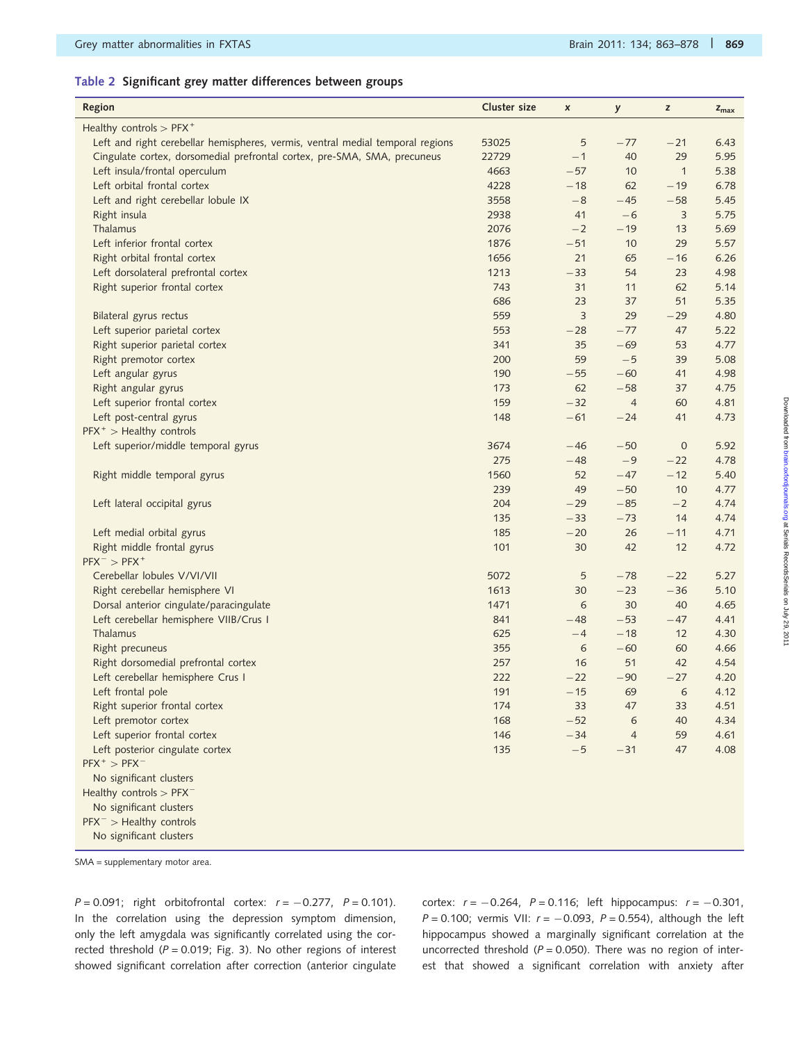### Table 2 Significant grey matter differences between groups

| Region                                                                         | Cluster size | X     | y              | z            | $z_{\text{max}}$ |
|--------------------------------------------------------------------------------|--------------|-------|----------------|--------------|------------------|
| Healthy controls $>$ PFX <sup>+</sup>                                          |              |       |                |              |                  |
| Left and right cerebellar hemispheres, vermis, ventral medial temporal regions | 53025        | 5     | $-77$          | $-21$        | 6.43             |
| Cingulate cortex, dorsomedial prefrontal cortex, pre-SMA, SMA, precuneus       | 22729        | $-1$  | 40             | 29           | 5.95             |
| Left insula/frontal operculum                                                  | 4663         | $-57$ | 10             | $\mathbf{1}$ | 5.38             |
| Left orbital frontal cortex                                                    | 4228         | $-18$ | 62             | $-19$        | 6.78             |
| Left and right cerebellar lobule IX                                            | 3558         | $-8$  | $-45$          | $-58$        | 5.45             |
| Right insula                                                                   | 2938         | 41    | $-6$           | $\mathsf 3$  | 5.75             |
| Thalamus                                                                       | 2076         | $-2$  | $-19$          | 13           | 5.69             |
| Left inferior frontal cortex                                                   | 1876         | $-51$ | 10             | 29           | 5.57             |
| Right orbital frontal cortex                                                   | 1656         | 21    | 65             | $-16$        | 6.26             |
| Left dorsolateral prefrontal cortex                                            | 1213         | $-33$ | 54             | 23           | 4.98             |
| Right superior frontal cortex                                                  | 743          | 31    | 11             | 62           | 5.14             |
|                                                                                | 686          | 23    | 37             | 51           | 5.35             |
| Bilateral gyrus rectus                                                         | 559          | 3     | 29             | $-29$        | 4.80             |
| Left superior parietal cortex                                                  | 553          | $-28$ | $-77$          | 47           | 5.22             |
| Right superior parietal cortex                                                 | 341          | 35    | $-69$          | 53           | 4.77             |
| Right premotor cortex                                                          | 200          | 59    | $-5$           | 39           | 5.08             |
| Left angular gyrus                                                             | 190          | $-55$ | $-60$          | 41           | 4.98             |
| Right angular gyrus                                                            | 173          | 62    | $-58$          | 37           | 4.75             |
| Left superior frontal cortex                                                   | 159          | $-32$ | $\overline{4}$ | 60           | 4.81             |
| Left post-central gyrus                                                        | 148          | $-61$ | $-24$          | 41           | 4.73             |
| $PFX^+ > Healthy$ controls                                                     |              |       |                |              |                  |
| Left superior/middle temporal gyrus                                            | 3674         | $-46$ | $-50$          | $\mathbf 0$  | 5.92             |
|                                                                                | 275          | $-48$ | $-9$           | $-22$        | 4.78             |
| Right middle temporal gyrus                                                    | 1560         | 52    | $-47$          | $-12$        | 5.40             |
|                                                                                | 239          | 49    | $-50$          | 10           | 4.77             |
| Left lateral occipital gyrus                                                   | 204          | $-29$ | $-85$          | $-2$         | 4.74             |
|                                                                                | 135          | $-33$ | $-73$          | 14           | 4.74             |
| Left medial orbital gyrus                                                      | 185          | $-20$ | 26             | $-11$        | 4.71             |
| Right middle frontal gyrus                                                     | 101          | 30    | 42             | 12           | 4.72             |
| $PFX^{-}$ > $PFX^{+}$                                                          |              |       |                |              |                  |
| Cerebellar lobules V/VI/VII                                                    | 5072         | 5     | $-78$          | $-22$        | 5.27             |
| Right cerebellar hemisphere VI                                                 | 1613         | 30    | $-23$          | $-36$        | 5.10             |
| Dorsal anterior cingulate/paracingulate                                        | 1471         | 6     | 30             | 40           | 4.65             |
| Left cerebellar hemisphere VIIB/Crus I                                         | 841          | $-48$ | $-53$          | $-47$        | 4.41             |
| Thalamus                                                                       | 625          | $-4$  | $-18$          | 12           | 4.30             |
| Right precuneus                                                                | 355          | 6     | $-60$          | 60           | 4.66             |
| Right dorsomedial prefrontal cortex                                            | 257          | 16    | 51             | 42           | 4.54             |
| Left cerebellar hemisphere Crus I                                              | 222          | $-22$ | $-90$          | $-27$        | 4.20             |
| Left frontal pole                                                              | 191          | $-15$ | 69             | $\epsilon$   | 4.12             |
| Right superior frontal cortex                                                  | 174          | 33    | 47             | 33           | 4.51             |
| Left premotor cortex                                                           | 168          | $-52$ | 6              | 40           | 4.34             |
| Left superior frontal cortex                                                   | 146          | $-34$ | $\overline{4}$ | 59           | 4.61             |
| Left posterior cingulate cortex                                                | 135          | $-5$  | $-31$          | 47           | 4.08             |
| $PFX^+ > PFX^-$                                                                |              |       |                |              |                  |
| No significant clusters                                                        |              |       |                |              |                  |
| Healthy controls $>$ PFX <sup>-</sup>                                          |              |       |                |              |                  |
| No significant clusters                                                        |              |       |                |              |                  |
| $PFX^{-}$ > Healthy controls                                                   |              |       |                |              |                  |
| No significant clusters                                                        |              |       |                |              |                  |

SMA = supplementary motor area.

 $P = 0.091$ ; right orbitofrontal cortex:  $r = -0.277$ ,  $P = 0.101$ ). In the correlation using the depression symptom dimension, only the left amygdala was significantly correlated using the corrected threshold ( $P = 0.019$ ; Fig. 3). No other regions of interest showed significant correlation after correction (anterior cingulate

cortex:  $r = -0.264$ ,  $P = 0.116$ ; left hippocampus:  $r = -0.301$ ,  $P = 0.100$ ; vermis VII:  $r = -0.093$ ,  $P = 0.554$ ), although the left hippocampus showed a marginally significant correlation at the uncorrected threshold ( $P = 0.050$ ). There was no region of interest that showed a significant correlation with anxiety after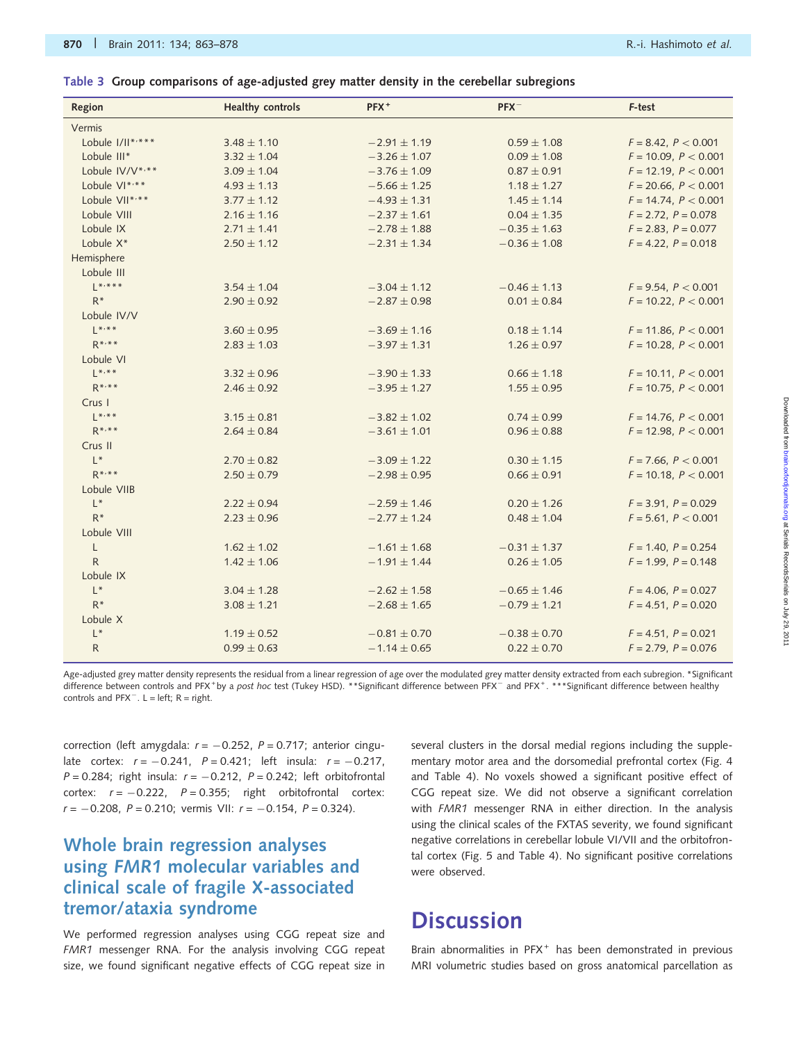#### Table 3 Group comparisons of age-adjusted grey matter density in the cerebellar subregions

| Region               | <b>Healthy controls</b> | PFX <sup>+</sup> | $PFX^-$          | F-test                    |
|----------------------|-------------------------|------------------|------------------|---------------------------|
| Vermis               |                         |                  |                  |                           |
| Lobule I/II*'***     | $3.48 \pm 1.10$         | $-2.91 \pm 1.19$ | $0.59 \pm 1.08$  | $F = 8.42, P < 0.001$     |
| Lobule III*          | $3.32 \pm 1.04$         | $-3.26 \pm 1.07$ | $0.09 \pm 1.08$  | $F = 10.09, P < 0.001$    |
| Lobule IV/V*,**      | $3.09 \pm 1.04$         | $-3.76 \pm 1.09$ | $0.87 \pm 0.91$  | $F = 12.19$ , $P < 0.001$ |
| Lobule VI*,**        | $4.93 \pm 1.13$         | $-5.66 \pm 1.25$ | $1.18 \pm 1.27$  | $F = 20.66$ , $P < 0.001$ |
| Lobule VII*,**       | $3.77 \pm 1.12$         | $-4.93 \pm 1.31$ | $1.45 \pm 1.14$  | $F = 14.74, P < 0.001$    |
| Lobule VIII          | $2.16 \pm 1.16$         | $-2.37 \pm 1.61$ | $0.04 \pm 1.35$  | $F = 2.72$ , $P = 0.078$  |
| Lobule IX            | $2.71 \pm 1.41$         | $-2.78 \pm 1.88$ | $-0.35 \pm 1.63$ | $F = 2.83, P = 0.077$     |
| Lobule X*            | $2.50 \pm 1.12$         | $-2.31 \pm 1.34$ | $-0.36 \pm 1.08$ | $F = 4.22$ , $P = 0.018$  |
| Hemisphere           |                         |                  |                  |                           |
| Lobule III           |                         |                  |                  |                           |
| $*$ * * * *          | $3.54 \pm 1.04$         | $-3.04 \pm 1.12$ | $-0.46 \pm 1.13$ | $F = 9.54$ , $P < 0.001$  |
| $R^*$                | $2.90 \pm 0.92$         | $-2.87 \pm 0.98$ | $0.01 \pm 0.84$  | $F = 10.22$ , $P < 0.001$ |
| Lobule IV/V          |                         |                  |                  |                           |
| $L^{\ast, \ast\ast}$ | $3.60 \pm 0.95$         | $-3.69 \pm 1.16$ | $0.18 \pm 1.14$  | $F = 11.86, P < 0.001$    |
| $R***$               | $2.83 \pm 1.03$         | $-3.97 \pm 1.31$ | $1.26 \pm 0.97$  | $F = 10.28, P < 0.001$    |
| Lobule VI            |                         |                  |                  |                           |
| $L^{*,**}$           | $3.32 \pm 0.96$         | $-3.90 \pm 1.33$ | $0.66 \pm 1.18$  | $F = 10.11, P < 0.001$    |
| $R$ *,**             | $2.46 \pm 0.92$         | $-3.95 \pm 1.27$ | $1.55 \pm 0.95$  | $F = 10.75$ , $P < 0.001$ |
| Crus I               |                         |                  |                  |                           |
| $1 * * * *$          | $3.15 \pm 0.81$         | $-3.82 \pm 1.02$ | $0.74 \pm 0.99$  | $F = 14.76, P < 0.001$    |
| $R$ *,**             | $2.64 \pm 0.84$         | $-3.61 \pm 1.01$ | $0.96 \pm 0.88$  | $F = 12.98, P < 0.001$    |
| Crus II              |                         |                  |                  |                           |
| $L^*$                | $2.70 \pm 0.82$         | $-3.09 \pm 1.22$ | $0.30 \pm 1.15$  | $F = 7.66$ , $P < 0.001$  |
| $R***$               | $2.50 \pm 0.79$         | $-2.98 \pm 0.95$ | $0.66 \pm 0.91$  | $F = 10.18$ , $P < 0.001$ |
| Lobule VIIB          |                         |                  |                  |                           |
| $L^*$                | $2.22 \pm 0.94$         | $-2.59 \pm 1.46$ | $0.20 \pm 1.26$  | $F = 3.91, P = 0.029$     |
| $R*$                 | $2.23 \pm 0.96$         | $-2.77 \pm 1.24$ | $0.48 \pm 1.04$  | $F = 5.61, P < 0.001$     |
| Lobule VIII          |                         |                  |                  |                           |
| L                    | $1.62 \pm 1.02$         | $-1.61 \pm 1.68$ | $-0.31 \pm 1.37$ | $F = 1.40, P = 0.254$     |
| $\mathsf R$          | $1.42 \pm 1.06$         | $-1.91 \pm 1.44$ | $0.26 \pm 1.05$  | $F = 1.99$ , $P = 0.148$  |
| Lobule IX            |                         |                  |                  |                           |
| $L^*$                | $3.04 \pm 1.28$         | $-2.62 \pm 1.58$ | $-0.65 \pm 1.46$ | $F = 4.06$ , $P = 0.027$  |
| $R^*$                | $3.08 \pm 1.21$         | $-2.68 \pm 1.65$ | $-0.79 \pm 1.21$ | $F = 4.51$ , $P = 0.020$  |
| Lobule X             |                         |                  |                  |                           |
| $L^*$                | $1.19 \pm 0.52$         | $-0.81 \pm 0.70$ | $-0.38 \pm 0.70$ | $F = 4.51$ , $P = 0.021$  |
| $\mathsf{R}$         | $0.99 \pm 0.63$         | $-1.14 \pm 0.65$ | $0.22 \pm 0.70$  | $F = 2.79$ , $P = 0.076$  |

Age-adjusted grey matter density represents the residual from a linear regression of age over the modulated grey matter density extracted from each subregion. \*Significant difference between controls and PFX<sup>+</sup> by a post hoc test (Tukey HSD). \*\*Significant difference between PFX<sup>-</sup> and PFX<sup>+</sup>. \*\*\*Significant difference between healthy controls and  $PFX^-$ .  $L = left$ ;  $R = right$ .

correction (left amygdala:  $r = -0.252$ ,  $P = 0.717$ ; anterior cingulate cortex:  $r = -0.241$ ,  $P = 0.421$ ; left insula:  $r = -0.217$ ,  $P = 0.284$ ; right insula:  $r = -0.212$ ,  $P = 0.242$ ; left orbitofrontal cortex:  $r = -0.222$ ,  $P = 0.355$ ; right orbitofrontal cortex:  $r = -0.208$ ,  $P = 0.210$ ; vermis VII:  $r = -0.154$ ,  $P = 0.324$ ).

## Whole brain regression analyses using FMR1 molecular variables and clinical scale of fragile X-associated tremor/ataxia syndrome

We performed regression analyses using CGG repeat size and FMR1 messenger RNA. For the analysis involving CGG repeat size, we found significant negative effects of CGG repeat size in

several clusters in the dorsal medial regions including the supplementary motor area and the dorsomedial prefrontal cortex (Fig. 4 and Table 4). No voxels showed a significant positive effect of CGG repeat size. We did not observe a significant correlation with FMR1 messenger RNA in either direction. In the analysis using the clinical scales of the FXTAS severity, we found significant negative correlations in cerebellar lobule VI/VII and the orbitofrontal cortex (Fig. 5 and Table 4). No significant positive correlations were observed.

## **Discussion**

Brain abnormalities in PFX<sup>+</sup> has been demonstrated in previous MRI volumetric studies based on gross anatomical parcellation as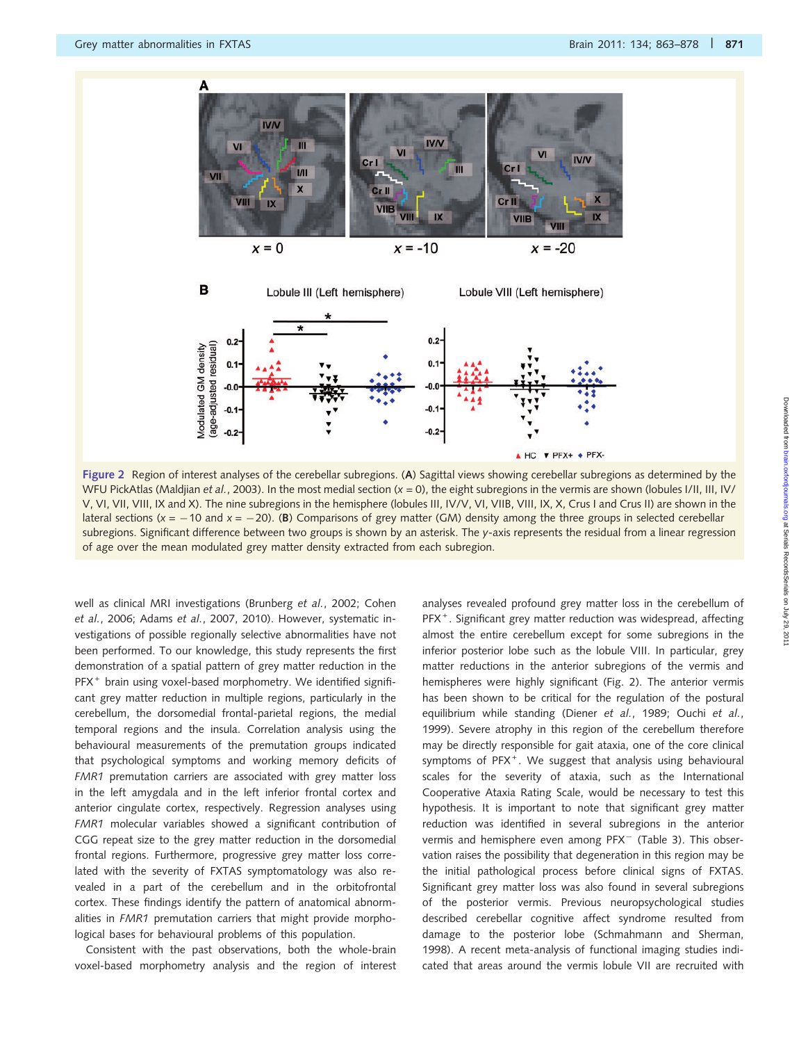

Figure 2 Region of interest analyses of the cerebellar subregions. (A) Sagittal views showing cerebellar subregions as determined by the WFU PickAtlas (Maldjian et al., 2003). In the most medial section  $(x = 0)$ , the eight subregions in the vermis are shown (lobules I/II, III, IV/ V, VI, VII, VIII, IX and X). The nine subregions in the hemisphere (lobules III, IV/V, VI, VIIB, VIII, IX, X, Crus I and Crus II) are shown in the lateral sections ( $x = -10$  and  $x = -20$ ). (B) Comparisons of grey matter (GM) density among the three groups in selected cerebellar subregions. Significant difference between two groups is shown by an asterisk. The y-axis represents the residual from a linear regression of age over the mean modulated grey matter density extracted from each subregion.

well as clinical MRI investigations (Brunberg et al., 2002; Cohen et al., 2006; Adams et al., 2007, 2010). However, systematic investigations of possible regionally selective abnormalities have not been performed. To our knowledge, this study represents the first demonstration of a spatial pattern of grey matter reduction in the PFX<sup>+</sup> brain using voxel-based morphometry. We identified significant grey matter reduction in multiple regions, particularly in the cerebellum, the dorsomedial frontal-parietal regions, the medial temporal regions and the insula. Correlation analysis using the behavioural measurements of the premutation groups indicated that psychological symptoms and working memory deficits of FMR1 premutation carriers are associated with grey matter loss in the left amygdala and in the left inferior frontal cortex and anterior cingulate cortex, respectively. Regression analyses using FMR1 molecular variables showed a significant contribution of CGG repeat size to the grey matter reduction in the dorsomedial frontal regions. Furthermore, progressive grey matter loss correlated with the severity of FXTAS symptomatology was also revealed in a part of the cerebellum and in the orbitofrontal cortex. These findings identify the pattern of anatomical abnormalities in FMR1 premutation carriers that might provide morphological bases for behavioural problems of this population.

Consistent with the past observations, both the whole-brain voxel-based morphometry analysis and the region of interest analyses revealed profound grey matter loss in the cerebellum of PFX<sup>+</sup>. Significant grey matter reduction was widespread, affecting almost the entire cerebellum except for some subregions in the inferior posterior lobe such as the lobule VIII. In particular, grey matter reductions in the anterior subregions of the vermis and hemispheres were highly significant (Fig. 2). The anterior vermis has been shown to be critical for the regulation of the postural equilibrium while standing (Diener et al., 1989; Ouchi et al., 1999). Severe atrophy in this region of the cerebellum therefore may be directly responsible for gait ataxia, one of the core clinical symptoms of PFX<sup>+</sup>. We suggest that analysis using behavioural scales for the severity of ataxia, such as the International Cooperative Ataxia Rating Scale, would be necessary to test this hypothesis. It is important to note that significant grey matter reduction was identified in several subregions in the anterior vermis and hemisphere even among PFX<sup>-</sup> (Table 3). This observation raises the possibility that degeneration in this region may be the initial pathological process before clinical signs of FXTAS. Significant grey matter loss was also found in several subregions of the posterior vermis. Previous neuropsychological studies described cerebellar cognitive affect syndrome resulted from damage to the posterior lobe (Schmahmann and Sherman, 1998). A recent meta-analysis of functional imaging studies indicated that areas around the vermis lobule VII are recruited with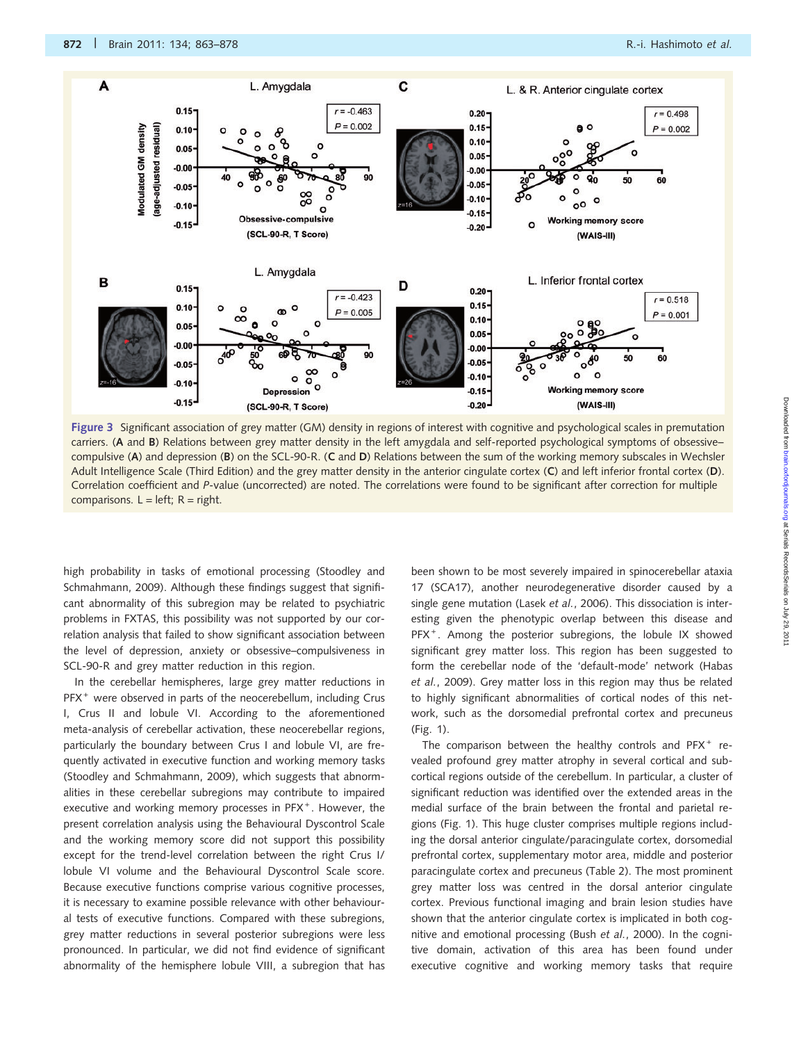

Figure 3 Significant association of grey matter (GM) density in regions of interest with cognitive and psychological scales in premutation carriers. (A and B) Relations between grey matter density in the left amygdala and self-reported psychological symptoms of obsessive– compulsive (A) and depression (B) on the SCL-90-R. (C and D) Relations between the sum of the working memory subscales in Wechsler Adult Intelligence Scale (Third Edition) and the grey matter density in the anterior cingulate cortex (C) and left inferior frontal cortex (D). Correlation coefficient and P-value (uncorrected) are noted. The correlations were found to be significant after correction for multiple comparisons.  $L = left$ ;  $R = right$ .

high probability in tasks of emotional processing (Stoodley and Schmahmann, 2009). Although these findings suggest that significant abnormality of this subregion may be related to psychiatric problems in FXTAS, this possibility was not supported by our correlation analysis that failed to show significant association between the level of depression, anxiety or obsessive–compulsiveness in SCL-90-R and grey matter reduction in this region.

In the cerebellar hemispheres, large grey matter reductions in PFX<sup>+</sup> were observed in parts of the neocerebellum, including Crus I, Crus II and lobule VI. According to the aforementioned meta-analysis of cerebellar activation, these neocerebellar regions, particularly the boundary between Crus I and lobule VI, are frequently activated in executive function and working memory tasks (Stoodley and Schmahmann, 2009), which suggests that abnormalities in these cerebellar subregions may contribute to impaired executive and working memory processes in PFX<sup>+</sup>. However, the present correlation analysis using the Behavioural Dyscontrol Scale and the working memory score did not support this possibility except for the trend-level correlation between the right Crus I/ lobule VI volume and the Behavioural Dyscontrol Scale score. Because executive functions comprise various cognitive processes, it is necessary to examine possible relevance with other behavioural tests of executive functions. Compared with these subregions, grey matter reductions in several posterior subregions were less pronounced. In particular, we did not find evidence of significant abnormality of the hemisphere lobule VIII, a subregion that has been shown to be most severely impaired in spinocerebellar ataxia 17 (SCA17), another neurodegenerative disorder caused by a single gene mutation (Lasek et al., 2006). This dissociation is interesting given the phenotypic overlap between this disease and PFX<sup>+</sup>. Among the posterior subregions, the lobule IX showed significant grey matter loss. This region has been suggested to form the cerebellar node of the 'default-mode' network (Habas et al., 2009). Grey matter loss in this region may thus be related to highly significant abnormalities of cortical nodes of this network, such as the dorsomedial prefrontal cortex and precuneus (Fig. 1).

The comparison between the healthy controls and  $PFX^+$  revealed profound grey matter atrophy in several cortical and subcortical regions outside of the cerebellum. In particular, a cluster of significant reduction was identified over the extended areas in the medial surface of the brain between the frontal and parietal regions (Fig. 1). This huge cluster comprises multiple regions including the dorsal anterior cingulate/paracingulate cortex, dorsomedial prefrontal cortex, supplementary motor area, middle and posterior paracingulate cortex and precuneus (Table 2). The most prominent grey matter loss was centred in the dorsal anterior cingulate cortex. Previous functional imaging and brain lesion studies have shown that the anterior cingulate cortex is implicated in both cognitive and emotional processing (Bush et al., 2000). In the cognitive domain, activation of this area has been found under executive cognitive and working memory tasks that require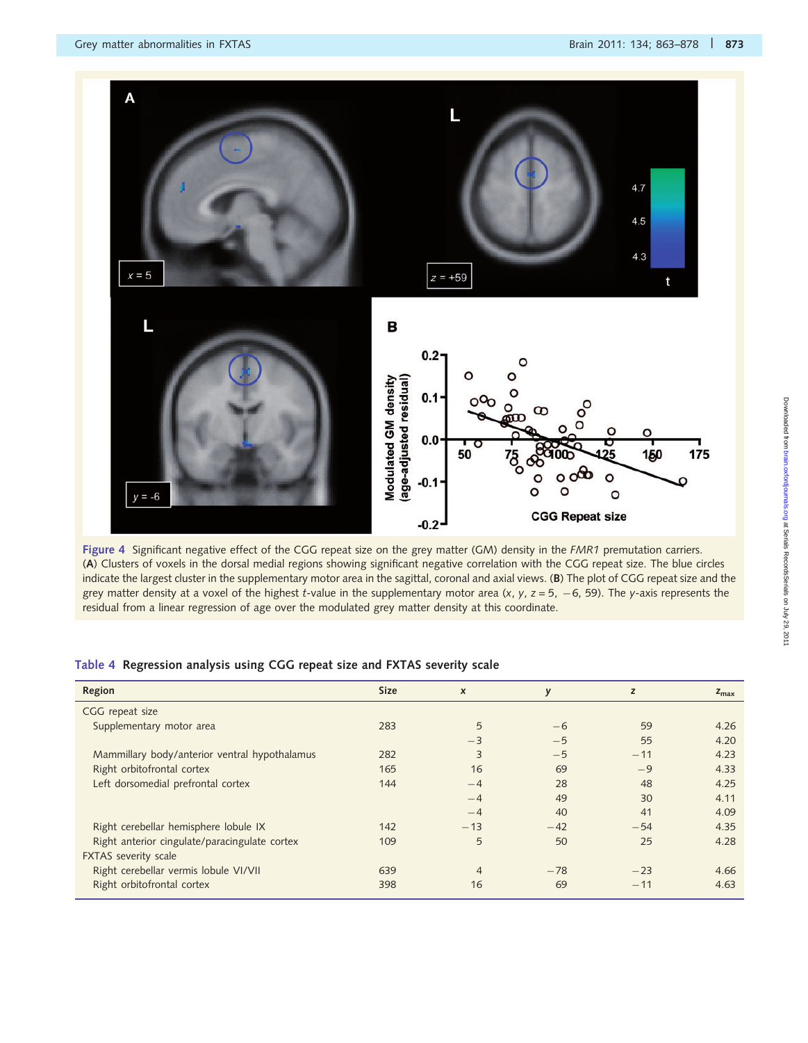

Figure 4 Significant negative effect of the CGG repeat size on the grey matter (GM) density in the FMR1 premutation carriers. (A) Clusters of voxels in the dorsal medial regions showing significant negative correlation with the CGG repeat size. The blue circles indicate the largest cluster in the supplementary motor area in the sagittal, coronal and axial views. (B) The plot of CGG repeat size and the grey matter density at a voxel of the highest t-value in the supplementary motor area (x, y, z = 5,  $-6$ , 59). The y-axis represents the residual from a linear regression of age over the modulated grey matter density at this coordinate.

| Region                                        | <b>Size</b> | $\pmb{\times}$ | y     | z     | $z_{\text{max}}$ |
|-----------------------------------------------|-------------|----------------|-------|-------|------------------|
| CGG repeat size                               |             |                |       |       |                  |
| Supplementary motor area                      | 283         | 5              | $-6$  | 59    | 4.26             |
|                                               |             | $-3$           | $-5$  | 55    | 4.20             |
| Mammillary body/anterior ventral hypothalamus | 282         | 3              | $-5$  | $-11$ | 4.23             |
| Right orbitofrontal cortex                    | 165         | 16             | 69    | $-9$  | 4.33             |
| Left dorsomedial prefrontal cortex            | 144         | $-4$           | 28    | 48    | 4.25             |
|                                               |             | $-4$           | 49    | 30    | 4.11             |
|                                               |             | $-4$           | 40    | 41    | 4.09             |
| Right cerebellar hemisphere lobule IX         | 142         | $-13$          | $-42$ | $-54$ | 4.35             |
| Right anterior cingulate/paracingulate cortex | 109         | 5              | 50    | 25    | 4.28             |
| FXTAS severity scale                          |             |                |       |       |                  |
| Right cerebellar vermis lobule VI/VII         | 639         | $\overline{4}$ | $-78$ | $-23$ | 4.66             |
| Right orbitofrontal cortex                    | 398         | 16             | 69    | $-11$ | 4.63             |

#### Table 4 Regression analysis using CGG repeat size and FXTAS severity scale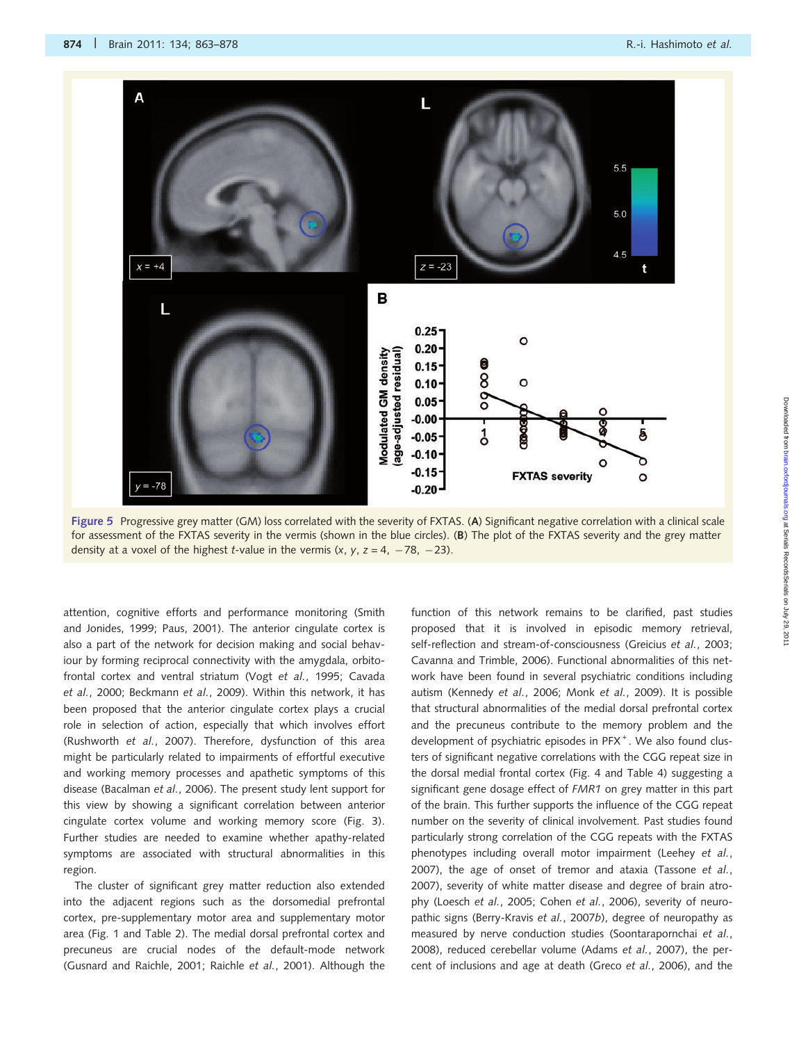

Figure 5 Progressive grey matter (GM) loss correlated with the severity of FXTAS. (A) Significant negative correlation with a clinical scale for assessment of the FXTAS severity in the vermis (shown in the blue circles). (B) The plot of the FXTAS severity and the grey matter density at a voxel of the highest t-value in the vermis  $(x, y, z = 4, -78, -23)$ .

attention, cognitive efforts and performance monitoring (Smith and Jonides, 1999; Paus, 2001). The anterior cingulate cortex is also a part of the network for decision making and social behaviour by forming reciprocal connectivity with the amygdala, orbitofrontal cortex and ventral striatum (Vogt et al., 1995; Cavada et al., 2000; Beckmann et al., 2009). Within this network, it has been proposed that the anterior cingulate cortex plays a crucial role in selection of action, especially that which involves effort (Rushworth et al., 2007). Therefore, dysfunction of this area might be particularly related to impairments of effortful executive and working memory processes and apathetic symptoms of this disease (Bacalman et al., 2006). The present study lent support for this view by showing a significant correlation between anterior cingulate cortex volume and working memory score (Fig. 3). Further studies are needed to examine whether apathy-related symptoms are associated with structural abnormalities in this region.

The cluster of significant grey matter reduction also extended into the adjacent regions such as the dorsomedial prefrontal cortex, pre-supplementary motor area and supplementary motor area (Fig. 1 and Table 2). The medial dorsal prefrontal cortex and precuneus are crucial nodes of the default-mode network (Gusnard and Raichle, 2001; Raichle et al., 2001). Although the function of this network remains to be clarified, past studies proposed that it is involved in episodic memory retrieval, self-reflection and stream-of-consciousness (Greicius et al., 2003; Cavanna and Trimble, 2006). Functional abnormalities of this network have been found in several psychiatric conditions including autism (Kennedy et al., 2006; Monk et al., 2009). It is possible that structural abnormalities of the medial dorsal prefrontal cortex and the precuneus contribute to the memory problem and the development of psychiatric episodes in PFX<sup>+</sup>. We also found clusters of significant negative correlations with the CGG repeat size in the dorsal medial frontal cortex (Fig. 4 and Table 4) suggesting a significant gene dosage effect of FMR1 on grey matter in this part of the brain. This further supports the influence of the CGG repeat number on the severity of clinical involvement. Past studies found particularly strong correlation of the CGG repeats with the FXTAS phenotypes including overall motor impairment (Leehey et al., 2007), the age of onset of tremor and ataxia (Tassone et al., 2007), severity of white matter disease and degree of brain atrophy (Loesch et al., 2005; Cohen et al., 2006), severity of neuropathic signs (Berry-Kravis et al., 2007b), degree of neuropathy as measured by nerve conduction studies (Soontarapornchai et al., 2008), reduced cerebellar volume (Adams et al., 2007), the percent of inclusions and age at death (Greco et al., 2006), and the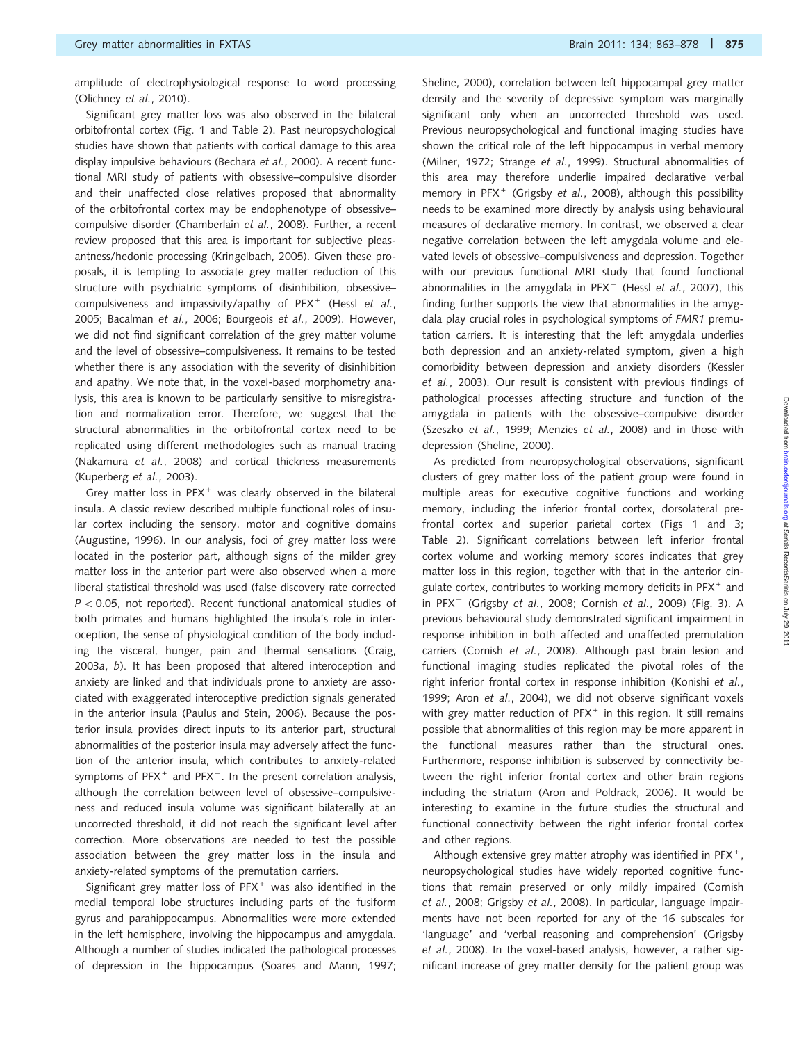amplitude of electrophysiological response to word processing (Olichney et al., 2010).

Significant grey matter loss was also observed in the bilateral orbitofrontal cortex (Fig. 1 and Table 2). Past neuropsychological studies have shown that patients with cortical damage to this area display impulsive behaviours (Bechara et al., 2000). A recent functional MRI study of patients with obsessive–compulsive disorder and their unaffected close relatives proposed that abnormality of the orbitofrontal cortex may be endophenotype of obsessive– compulsive disorder (Chamberlain et al., 2008). Further, a recent review proposed that this area is important for subjective pleasantness/hedonic processing (Kringelbach, 2005). Given these proposals, it is tempting to associate grey matter reduction of this structure with psychiatric symptoms of disinhibition, obsessive– compulsiveness and impassivity/apathy of PFX<sup>+</sup> (Hessl et al., 2005; Bacalman et al., 2006; Bourgeois et al., 2009). However, we did not find significant correlation of the grey matter volume and the level of obsessive–compulsiveness. It remains to be tested whether there is any association with the severity of disinhibition and apathy. We note that, in the voxel-based morphometry analysis, this area is known to be particularly sensitive to misregistration and normalization error. Therefore, we suggest that the structural abnormalities in the orbitofrontal cortex need to be replicated using different methodologies such as manual tracing (Nakamura et al., 2008) and cortical thickness measurements (Kuperberg et al., 2003).

Grey matter loss in  $PFX^+$  was clearly observed in the bilateral insula. A classic review described multiple functional roles of insular cortex including the sensory, motor and cognitive domains (Augustine, 1996). In our analysis, foci of grey matter loss were located in the posterior part, although signs of the milder grey matter loss in the anterior part were also observed when a more liberal statistical threshold was used (false discovery rate corrected  $P < 0.05$ , not reported). Recent functional anatomical studies of both primates and humans highlighted the insula's role in interoception, the sense of physiological condition of the body including the visceral, hunger, pain and thermal sensations (Craig, 2003a, b). It has been proposed that altered interoception and anxiety are linked and that individuals prone to anxiety are associated with exaggerated interoceptive prediction signals generated in the anterior insula (Paulus and Stein, 2006). Because the posterior insula provides direct inputs to its anterior part, structural abnormalities of the posterior insula may adversely affect the function of the anterior insula, which contributes to anxiety-related symptoms of  $PFX^+$  and  $PFX^-$ . In the present correlation analysis, although the correlation between level of obsessive–compulsiveness and reduced insula volume was significant bilaterally at an uncorrected threshold, it did not reach the significant level after correction. More observations are needed to test the possible association between the grey matter loss in the insula and anxiety-related symptoms of the premutation carriers.

Significant grey matter loss of  $PFX^+$  was also identified in the medial temporal lobe structures including parts of the fusiform gyrus and parahippocampus. Abnormalities were more extended in the left hemisphere, involving the hippocampus and amygdala. Although a number of studies indicated the pathological processes of depression in the hippocampus (Soares and Mann, 1997; Sheline, 2000), correlation between left hippocampal grey matter density and the severity of depressive symptom was marginally significant only when an uncorrected threshold was used. Previous neuropsychological and functional imaging studies have shown the critical role of the left hippocampus in verbal memory (Milner, 1972; Strange et al., 1999). Structural abnormalities of this area may therefore underlie impaired declarative verbal memory in PFX<sup>+</sup> (Grigsby et al., 2008), although this possibility needs to be examined more directly by analysis using behavioural measures of declarative memory. In contrast, we observed a clear negative correlation between the left amygdala volume and elevated levels of obsessive–compulsiveness and depression. Together with our previous functional MRI study that found functional abnormalities in the amygdala in  $PFX^-$  (Hessl et al., 2007), this finding further supports the view that abnormalities in the amygdala play crucial roles in psychological symptoms of FMR1 premutation carriers. It is interesting that the left amygdala underlies both depression and an anxiety-related symptom, given a high comorbidity between depression and anxiety disorders (Kessler et al., 2003). Our result is consistent with previous findings of pathological processes affecting structure and function of the amygdala in patients with the obsessive–compulsive disorder (Szeszko et al., 1999; Menzies et al., 2008) and in those with depression (Sheline, 2000).

As predicted from neuropsychological observations, significant clusters of grey matter loss of the patient group were found in multiple areas for executive cognitive functions and working memory, including the inferior frontal cortex, dorsolateral prefrontal cortex and superior parietal cortex (Figs 1 and 3; Table 2). Significant correlations between left inferior frontal cortex volume and working memory scores indicates that grey matter loss in this region, together with that in the anterior cingulate cortex, contributes to working memory deficits in PFX<sup>+</sup> and in PFX<sup>-</sup> (Grigsby et al., 2008; Cornish et al., 2009) (Fig. 3). A previous behavioural study demonstrated significant impairment in response inhibition in both affected and unaffected premutation carriers (Cornish et al., 2008). Although past brain lesion and functional imaging studies replicated the pivotal roles of the right inferior frontal cortex in response inhibition (Konishi et al., 1999; Aron et al., 2004), we did not observe significant voxels with grey matter reduction of  $PFX^+$  in this region. It still remains possible that abnormalities of this region may be more apparent in the functional measures rather than the structural ones. Furthermore, response inhibition is subserved by connectivity between the right inferior frontal cortex and other brain regions including the striatum (Aron and Poldrack, 2006). It would be interesting to examine in the future studies the structural and functional connectivity between the right inferior frontal cortex and other regions.

Although extensive grey matter atrophy was identified in PFX<sup>+</sup>, neuropsychological studies have widely reported cognitive functions that remain preserved or only mildly impaired (Cornish et al., 2008; Grigsby et al., 2008). In particular, language impairments have not been reported for any of the 16 subscales for 'language' and 'verbal reasoning and comprehension' (Grigsby et al., 2008). In the voxel-based analysis, however, a rather significant increase of grey matter density for the patient group was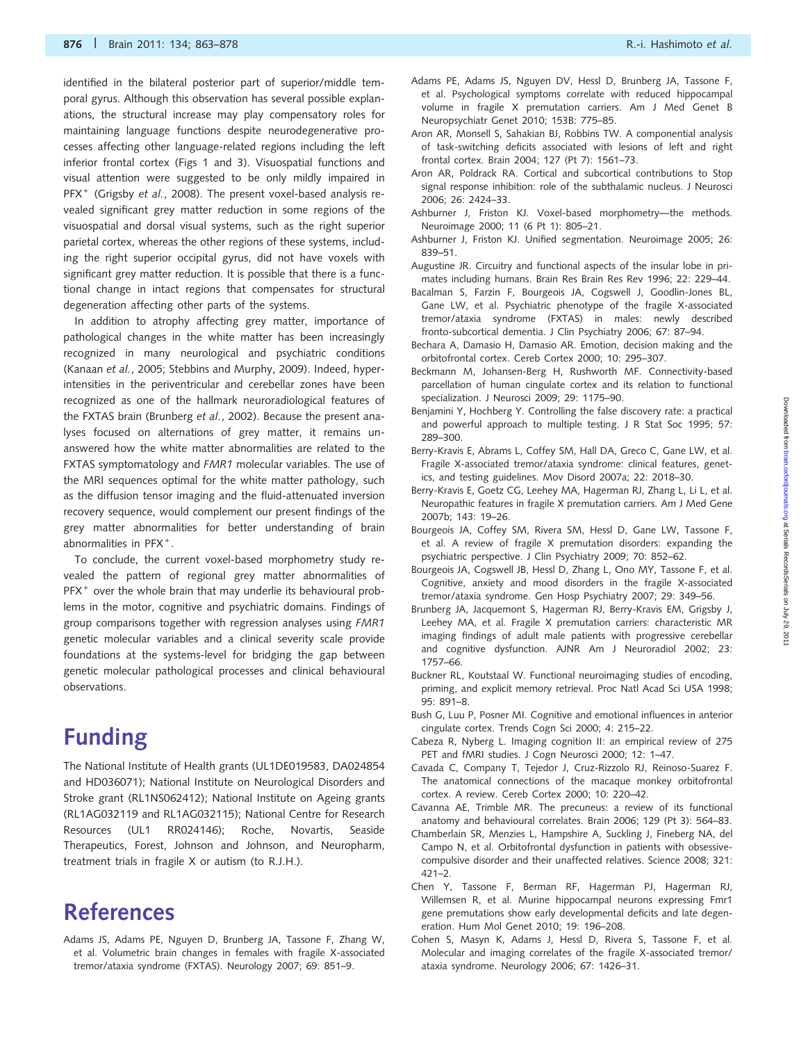identified in the bilateral posterior part of superior/middle temporal gyrus. Although this observation has several possible explanations, the structural increase may play compensatory roles for maintaining language functions despite neurodegenerative processes affecting other language-related regions including the left inferior frontal cortex (Figs 1 and 3). Visuospatial functions and visual attention were suggested to be only mildly impaired in PFX<sup>+</sup> (Grigsby et al., 2008). The present voxel-based analysis revealed significant grey matter reduction in some regions of the visuospatial and dorsal visual systems, such as the right superior parietal cortex, whereas the other regions of these systems, including the right superior occipital gyrus, did not have voxels with significant grey matter reduction. It is possible that there is a functional change in intact regions that compensates for structural degeneration affecting other parts of the systems.

In addition to atrophy affecting grey matter, importance of pathological changes in the white matter has been increasingly recognized in many neurological and psychiatric conditions (Kanaan et al., 2005; Stebbins and Murphy, 2009). Indeed, hyperintensities in the periventricular and cerebellar zones have been recognized as one of the hallmark neuroradiological features of the FXTAS brain (Brunberg et al., 2002). Because the present analyses focused on alternations of grey matter, it remains unanswered how the white matter abnormalities are related to the FXTAS symptomatology and FMR1 molecular variables. The use of the MRI sequences optimal for the white matter pathology, such as the diffusion tensor imaging and the fluid-attenuated inversion recovery sequence, would complement our present findings of the grey matter abnormalities for better understanding of brain abnormalities in PFX<sup>+</sup>.

To conclude, the current voxel-based morphometry study revealed the pattern of regional grey matter abnormalities of  $PFX^+$  over the whole brain that may underlie its behavioural problems in the motor, cognitive and psychiatric domains. Findings of group comparisons together with regression analyses using FMR1 genetic molecular variables and a clinical severity scale provide foundations at the systems-level for bridging the gap between genetic molecular pathological processes and clinical behavioural observations.

# Funding

The National Institute of Health grants (UL1DE019583, DA024854 and HD036071); National Institute on Neurological Disorders and Stroke grant (RL1NS062412); National Institute on Ageing grants (RL1AG032119 and RL1AG032115); National Centre for Research Resources (UL1 RR024146); Roche, Novartis, Seaside Therapeutics, Forest, Johnson and Johnson, and Neuropharm, treatment trials in fragile X or autism (to R.J.H.).

# References

Adams JS, Adams PE, Nguyen D, Brunberg JA, Tassone F, Zhang W, et al. Volumetric brain changes in females with fragile X-associated tremor/ataxia syndrome (FXTAS). Neurology 2007; 69: 851–9.

- Adams PE, Adams JS, Nguyen DV, Hessl D, Brunberg JA, Tassone F, et al. Psychological symptoms correlate with reduced hippocampal volume in fragile X premutation carriers. Am J Med Genet B Neuropsychiatr Genet 2010; 153B: 775–85.
- Aron AR, Monsell S, Sahakian BJ, Robbins TW. A componential analysis of task-switching deficits associated with lesions of left and right frontal cortex. Brain 2004; 127 (Pt 7): 1561–73.
- Aron AR, Poldrack RA. Cortical and subcortical contributions to Stop signal response inhibition: role of the subthalamic nucleus. J Neurosci 2006; 26: 2424–33.
- Ashburner J, Friston KJ. Voxel-based morphometry—the methods. Neuroimage 2000; 11 (6 Pt 1): 805–21.
- Ashburner J, Friston KJ. Unified segmentation. Neuroimage 2005; 26: 839–51.
- Augustine JR. Circuitry and functional aspects of the insular lobe in primates including humans. Brain Res Brain Res Rev 1996; 22: 229–44.
- Bacalman S, Farzin F, Bourgeois JA, Cogswell J, Goodlin-Jones BL, Gane LW, et al. Psychiatric phenotype of the fragile X-associated tremor/ataxia syndrome (FXTAS) in males: newly described fronto-subcortical dementia. J Clin Psychiatry 2006; 67: 87–94.
- Bechara A, Damasio H, Damasio AR. Emotion, decision making and the orbitofrontal cortex. Cereb Cortex 2000; 10: 295–307.
- Beckmann M, Johansen-Berg H, Rushworth MF. Connectivity-based parcellation of human cingulate cortex and its relation to functional specialization. J Neurosci 2009; 29: 1175–90.
- Benjamini Y, Hochberg Y. Controlling the false discovery rate: a practical and powerful approach to multiple testing. J R Stat Soc 1995; 57: 289–300.
- Berry-Kravis E, Abrams L, Coffey SM, Hall DA, Greco C, Gane LW, et al. Fragile X-associated tremor/ataxia syndrome: clinical features, genetics, and testing guidelines. Mov Disord 2007a; 22: 2018–30.
- Berry-Kravis E, Goetz CG, Leehey MA, Hagerman RJ, Zhang L, Li L, et al. Neuropathic features in fragile X premutation carriers. Am J Med Gene 2007b; 143: 19–26.
- Bourgeois JA, Coffey SM, Rivera SM, Hessl D, Gane LW, Tassone F, et al. A review of fragile X premutation disorders: expanding the psychiatric perspective. J Clin Psychiatry 2009; 70: 852–62.
- Bourgeois JA, Cogswell JB, Hessl D, Zhang L, Ono MY, Tassone F, et al. Cognitive, anxiety and mood disorders in the fragile X-associated tremor/ataxia syndrome. Gen Hosp Psychiatry 2007; 29: 349–56.
- Brunberg JA, Jacquemont S, Hagerman RJ, Berry-Kravis EM, Grigsby J, Leehey MA, et al. Fragile X premutation carriers: characteristic MR imaging findings of adult male patients with progressive cerebellar and cognitive dysfunction. AJNR Am J Neuroradiol 2002; 23: 1757–66.
- Buckner RL, Koutstaal W. Functional neuroimaging studies of encoding, priming, and explicit memory retrieval. Proc Natl Acad Sci USA 1998; 95: 891–8.
- Bush G, Luu P, Posner MI. Cognitive and emotional influences in anterior cingulate cortex. Trends Cogn Sci 2000; 4: 215–22.
- Cabeza R, Nyberg L. Imaging cognition II: an empirical review of 275 PET and fMRI studies. J Cogn Neurosci 2000; 12: 1–47.
- Cavada C, Company T, Tejedor J, Cruz-Rizzolo RJ, Reinoso-Suarez F. The anatomical connections of the macaque monkey orbitofrontal cortex. A review. Cereb Cortex 2000; 10: 220–42.
- Cavanna AE, Trimble MR. The precuneus: a review of its functional anatomy and behavioural correlates. Brain 2006; 129 (Pt 3): 564–83.
- Chamberlain SR, Menzies L, Hampshire A, Suckling J, Fineberg NA, del Campo N, et al. Orbitofrontal dysfunction in patients with obsessivecompulsive disorder and their unaffected relatives. Science 2008; 321: 421–2.
- Chen Y, Tassone F, Berman RF, Hagerman PJ, Hagerman RJ, Willemsen R, et al. Murine hippocampal neurons expressing Fmr1 gene premutations show early developmental deficits and late degeneration. Hum Mol Genet 2010; 19: 196–208.
- Cohen S, Masyn K, Adams J, Hessl D, Rivera S, Tassone F, et al. Molecular and imaging correlates of the fragile X-associated tremor/ ataxia syndrome. Neurology 2006; 67: 1426–31.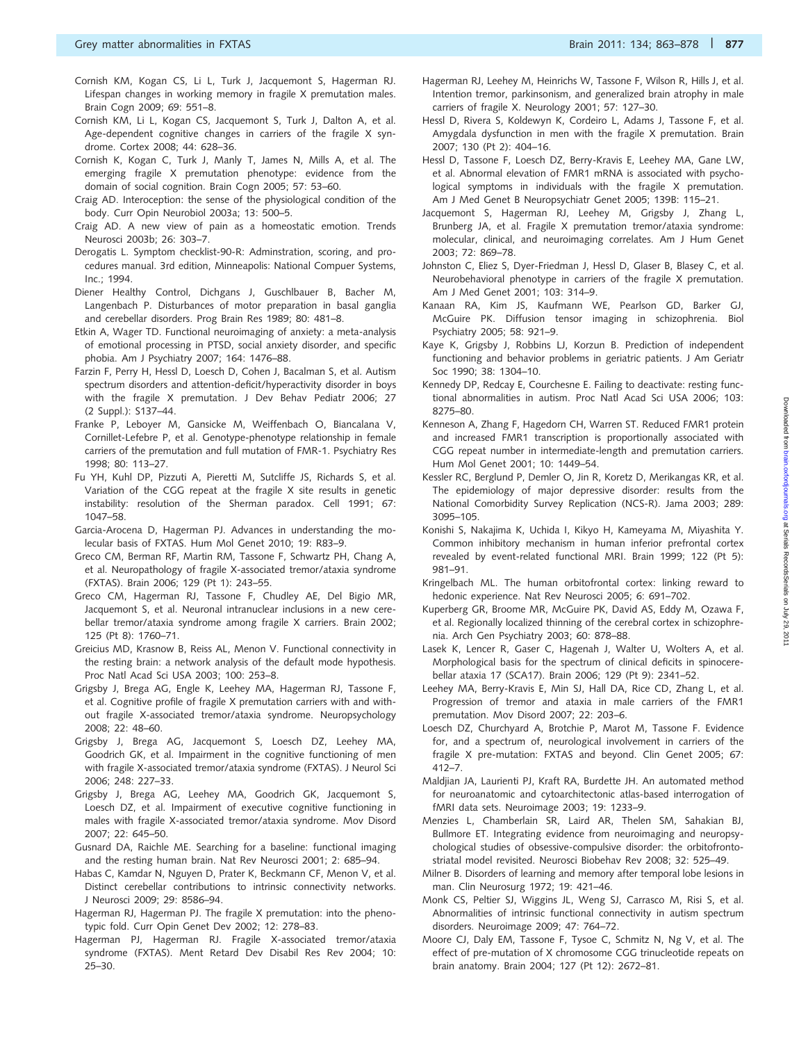- Cornish KM, Kogan CS, Li L, Turk J, Jacquemont S, Hagerman RJ. Lifespan changes in working memory in fragile X premutation males. Brain Cogn 2009; 69: 551–8.
- Cornish KM, Li L, Kogan CS, Jacquemont S, Turk J, Dalton A, et al. Age-dependent cognitive changes in carriers of the fragile X syndrome. Cortex 2008; 44: 628–36.
- Cornish K, Kogan C, Turk J, Manly T, James N, Mills A, et al. The emerging fragile X premutation phenotype: evidence from the domain of social cognition. Brain Cogn 2005; 57: 53–60.
- Craig AD. Interoception: the sense of the physiological condition of the body. Curr Opin Neurobiol 2003a; 13: 500–5.
- Craig AD. A new view of pain as a homeostatic emotion. Trends Neurosci 2003b; 26: 303–7.
- Derogatis L. Symptom checklist-90-R: Adminstration, scoring, and procedures manual. 3rd edition, Minneapolis: National Compuer Systems,  $Inc·1994$
- Diener Healthy Control, Dichgans J, Guschlbauer B, Bacher M, Langenbach P. Disturbances of motor preparation in basal ganglia and cerebellar disorders. Prog Brain Res 1989; 80: 481–8.
- Etkin A, Wager TD. Functional neuroimaging of anxiety: a meta-analysis of emotional processing in PTSD, social anxiety disorder, and specific phobia. Am J Psychiatry 2007; 164: 1476–88.
- Farzin F, Perry H, Hessl D, Loesch D, Cohen J, Bacalman S, et al. Autism spectrum disorders and attention-deficit/hyperactivity disorder in boys with the fragile X premutation. J Dev Behav Pediatr 2006; 27 (2 Suppl.): S137–44.
- Franke P, Leboyer M, Gansicke M, Weiffenbach O, Biancalana V, Cornillet-Lefebre P, et al. Genotype-phenotype relationship in female carriers of the premutation and full mutation of FMR-1. Psychiatry Res 1998; 80: 113–27.
- Fu YH, Kuhl DP, Pizzuti A, Pieretti M, Sutcliffe JS, Richards S, et al. Variation of the CGG repeat at the fragile X site results in genetic instability: resolution of the Sherman paradox. Cell 1991; 67: 1047–58.
- Garcia-Arocena D, Hagerman PJ. Advances in understanding the molecular basis of FXTAS. Hum Mol Genet 2010; 19: R83–9.
- Greco CM, Berman RF, Martin RM, Tassone F, Schwartz PH, Chang A, et al. Neuropathology of fragile X-associated tremor/ataxia syndrome (FXTAS). Brain 2006; 129 (Pt 1): 243–55.
- Greco CM, Hagerman RJ, Tassone F, Chudley AE, Del Bigio MR, Jacquemont S, et al. Neuronal intranuclear inclusions in a new cerebellar tremor/ataxia syndrome among fragile X carriers. Brain 2002; 125 (Pt 8): 1760–71.
- Greicius MD, Krasnow B, Reiss AL, Menon V. Functional connectivity in the resting brain: a network analysis of the default mode hypothesis. Proc Natl Acad Sci USA 2003; 100: 253–8.
- Grigsby J, Brega AG, Engle K, Leehey MA, Hagerman RJ, Tassone F, et al. Cognitive profile of fragile X premutation carriers with and without fragile X-associated tremor/ataxia syndrome. Neuropsychology 2008; 22: 48–60.
- Grigsby J, Brega AG, Jacquemont S, Loesch DZ, Leehey MA, Goodrich GK, et al. Impairment in the cognitive functioning of men with fragile X-associated tremor/ataxia syndrome (FXTAS). J Neurol Sci 2006; 248: 227–33.
- Grigsby J, Brega AG, Leehey MA, Goodrich GK, Jacquemont S, Loesch DZ, et al. Impairment of executive cognitive functioning in males with fragile X-associated tremor/ataxia syndrome. Mov Disord 2007; 22: 645–50.
- Gusnard DA, Raichle ME. Searching for a baseline: functional imaging and the resting human brain. Nat Rev Neurosci 2001; 2: 685–94.
- Habas C, Kamdar N, Nguyen D, Prater K, Beckmann CF, Menon V, et al. Distinct cerebellar contributions to intrinsic connectivity networks. J Neurosci 2009; 29: 8586–94.
- Hagerman RJ, Hagerman PJ. The fragile X premutation: into the phenotypic fold. Curr Opin Genet Dev 2002; 12: 278–83.
- Hagerman PJ, Hagerman RJ. Fragile X-associated tremor/ataxia syndrome (FXTAS). Ment Retard Dev Disabil Res Rev 2004; 10: 25–30.
- Hagerman RJ, Leehey M, Heinrichs W, Tassone F, Wilson R, Hills J, et al. Intention tremor, parkinsonism, and generalized brain atrophy in male carriers of fragile X. Neurology 2001; 57: 127–30.
- Hessl D, Rivera S, Koldewyn K, Cordeiro L, Adams J, Tassone F, et al. Amygdala dysfunction in men with the fragile X premutation. Brain 2007; 130 (Pt 2): 404–16.
- Hessl D, Tassone F, Loesch DZ, Berry-Kravis E, Leehey MA, Gane LW, et al. Abnormal elevation of FMR1 mRNA is associated with psychological symptoms in individuals with the fragile X premutation. Am J Med Genet B Neuropsychiatr Genet 2005; 139B: 115–21.
- Jacquemont S, Hagerman RJ, Leehey M, Grigsby J, Zhang L, Brunberg JA, et al. Fragile X premutation tremor/ataxia syndrome: molecular, clinical, and neuroimaging correlates. Am J Hum Genet 2003; 72: 869–78.
- Johnston C, Eliez S, Dyer-Friedman J, Hessl D, Glaser B, Blasey C, et al. Neurobehavioral phenotype in carriers of the fragile X premutation. Am J Med Genet 2001; 103: 314–9.
- Kanaan RA, Kim JS, Kaufmann WE, Pearlson GD, Barker GJ, McGuire PK. Diffusion tensor imaging in schizophrenia. Biol Psychiatry 2005; 58: 921–9.
- Kaye K, Grigsby J, Robbins LJ, Korzun B. Prediction of independent functioning and behavior problems in geriatric patients. J Am Geriatr Soc 1990; 38: 1304–10.
- Kennedy DP, Redcay E, Courchesne E. Failing to deactivate: resting functional abnormalities in autism. Proc Natl Acad Sci USA 2006; 103: 8275–80.
- Kenneson A, Zhang F, Hagedorn CH, Warren ST. Reduced FMR1 protein and increased FMR1 transcription is proportionally associated with CGG repeat number in intermediate-length and premutation carriers. Hum Mol Genet 2001; 10: 1449–54.
- Kessler RC, Berglund P, Demler O, Jin R, Koretz D, Merikangas KR, et al. The epidemiology of major depressive disorder: results from the National Comorbidity Survey Replication (NCS-R). Jama 2003; 289: 3095–105.
- Konishi S, Nakajima K, Uchida I, Kikyo H, Kameyama M, Miyashita Y. Common inhibitory mechanism in human inferior prefrontal cortex revealed by event-related functional MRI. Brain 1999; 122 (Pt 5): 981–91.
- Kringelbach ML. The human orbitofrontal cortex: linking reward to hedonic experience. Nat Rev Neurosci 2005; 6: 691–702.
- Kuperberg GR, Broome MR, McGuire PK, David AS, Eddy M, Ozawa F, et al. Regionally localized thinning of the cerebral cortex in schizophrenia. Arch Gen Psychiatry 2003; 60: 878–88.
- Lasek K, Lencer R, Gaser C, Hagenah J, Walter U, Wolters A, et al. Morphological basis for the spectrum of clinical deficits in spinocerebellar ataxia 17 (SCA17). Brain 2006; 129 (Pt 9): 2341–52.
- Leehey MA, Berry-Kravis E, Min SJ, Hall DA, Rice CD, Zhang L, et al. Progression of tremor and ataxia in male carriers of the FMR1 premutation. Mov Disord 2007; 22: 203–6.
- Loesch DZ, Churchyard A, Brotchie P, Marot M, Tassone F. Evidence for, and a spectrum of, neurological involvement in carriers of the fragile X pre-mutation: FXTAS and beyond. Clin Genet 2005; 67: 412–7.
- Maldjian JA, Laurienti PJ, Kraft RA, Burdette JH. An automated method for neuroanatomic and cytoarchitectonic atlas-based interrogation of fMRI data sets. Neuroimage 2003; 19: 1233–9.
- Menzies L, Chamberlain SR, Laird AR, Thelen SM, Sahakian BJ, Bullmore ET. Integrating evidence from neuroimaging and neuropsychological studies of obsessive-compulsive disorder: the orbitofrontostriatal model revisited. Neurosci Biobehav Rev 2008; 32: 525–49.
- Milner B. Disorders of learning and memory after temporal lobe lesions in man. Clin Neurosurg 1972; 19: 421–46.
- Monk CS, Peltier SJ, Wiggins JL, Weng SJ, Carrasco M, Risi S, et al. Abnormalities of intrinsic functional connectivity in autism spectrum disorders. Neuroimage 2009; 47: 764–72.
- Moore CJ, Daly EM, Tassone F, Tysoe C, Schmitz N, Ng V, et al. The effect of pre-mutation of X chromosome CGG trinucleotide repeats on brain anatomy. Brain 2004; 127 (Pt 12): 2672–81.